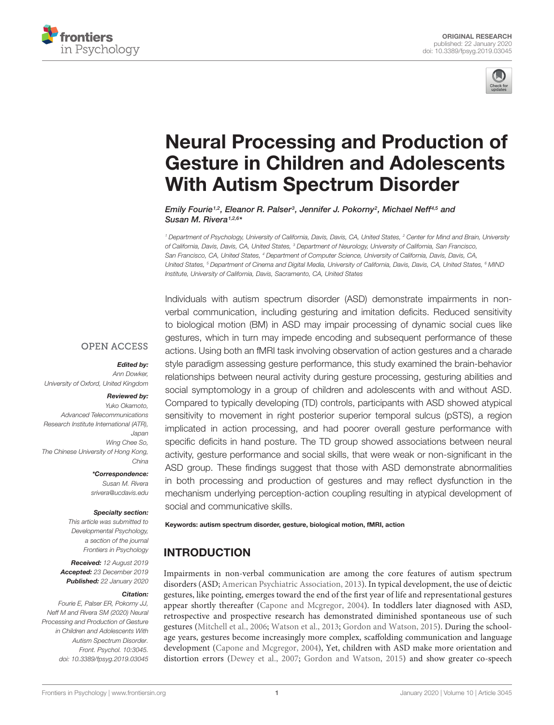



# Neural Processing and Production of [Gesture in Children and Adolescents](https://www.frontiersin.org/articles/10.3389/fpsyg.2019.03045/full) With Autism Spectrum Disorder

[Emily Fourie](http://loop.frontiersin.org/people/547034/overview)<sup>1,2</sup>, [Eleanor R. Palser](http://loop.frontiersin.org/people/856861/overview)<sup>3</sup>, [Jennifer J. Pokorny](http://loop.frontiersin.org/people/777910/overview)<sup>2</sup>, [Michael Neff](http://loop.frontiersin.org/people/187732/overview)<sup>4,5</sup> and [Susan M. Rivera](http://loop.frontiersin.org/people/7077/overview)<sup>1,2,6\*</sup>

<sup>1</sup> Department of Psychology, University of California, Davis, Davis, CA, United States, <sup>2</sup> Center for Mind and Brain, University of California, Davis, Davis, CA, United States, <sup>3</sup> Department of Neurology, University of California, San Francisco, San Francisco, CA, United States, <sup>4</sup> Department of Computer Science, University of California, Davis, Davis, CA, United States, <sup>5</sup> Department of Cinema and Digital Media, University of California, Davis, Davis, CA, United States, <sup>6</sup> MIND Institute, University of California, Davis, Sacramento, CA, United States

**OPEN ACCESS** 

#### Edited by:

Ann Dowker, University of Oxford, United Kingdom

#### Reviewed by:

Yuko Okamoto, Advanced Telecommunications Research Institute International (ATR), Japan Wing Chee So, The Chinese University of Hong Kong, China

> \*Correspondence: Susan M. Rivera srivera@ucdavis.edu

#### Specialty section:

This article was submitted to Developmental Psychology, a section of the journal Frontiers in Psychology

Received: 12 August 2019 Accepted: 23 December 2019 Published: 22 January 2020

#### Citation:

Fourie E, Palser ER, Pokorny JJ, Neff M and Rivera SM (2020) Neural Processing and Production of Gesture in Children and Adolescents With Autism Spectrum Disorder. Front. Psychol. 10:3045. doi: [10.3389/fpsyg.2019.03045](https://doi.org/10.3389/fpsyg.2019.03045)

Individuals with autism spectrum disorder (ASD) demonstrate impairments in nonverbal communication, including gesturing and imitation deficits. Reduced sensitivity to biological motion (BM) in ASD may impair processing of dynamic social cues like gestures, which in turn may impede encoding and subsequent performance of these actions. Using both an fMRI task involving observation of action gestures and a charade style paradigm assessing gesture performance, this study examined the brain-behavior relationships between neural activity during gesture processing, gesturing abilities and social symptomology in a group of children and adolescents with and without ASD. Compared to typically developing (TD) controls, participants with ASD showed atypical sensitivity to movement in right posterior superior temporal sulcus (pSTS), a region implicated in action processing, and had poorer overall gesture performance with specific deficits in hand posture. The TD group showed associations between neural activity, gesture performance and social skills, that were weak or non-significant in the ASD group. These findings suggest that those with ASD demonstrate abnormalities in both processing and production of gestures and may reflect dysfunction in the mechanism underlying perception-action coupling resulting in atypical development of social and communicative skills.

#### Keywords: autism spectrum disorder, gesture, biological motion, fMRI, action

# INTRODUCTION

Impairments in non-verbal communication are among the core features of autism spectrum disorders (ASD; [American Psychiatric Association,](#page-12-0) [2013\)](#page-12-0). In typical development, the use of deictic gestures, like pointing, emerges toward the end of the first year of life and representational gestures appear shortly thereafter [\(Capone and Mcgregor,](#page-12-1) [2004\)](#page-12-1). In toddlers later diagnosed with ASD, retrospective and prospective research has demonstrated diminished spontaneous use of such gestures [\(Mitchell et al.,](#page-13-0) [2006;](#page-13-0) [Watson et al.,](#page-13-1) [2013;](#page-13-1) [Gordon and Watson,](#page-12-2) [2015\)](#page-12-2). During the schoolage years, gestures become increasingly more complex, scaffolding communication and language development [\(Capone and Mcgregor,](#page-12-1) [2004\)](#page-12-1), Yet, children with ASD make more orientation and distortion errors [\(Dewey et al.,](#page-12-3) [2007;](#page-12-3) [Gordon and Watson,](#page-12-2) [2015\)](#page-12-2) and show greater co-speech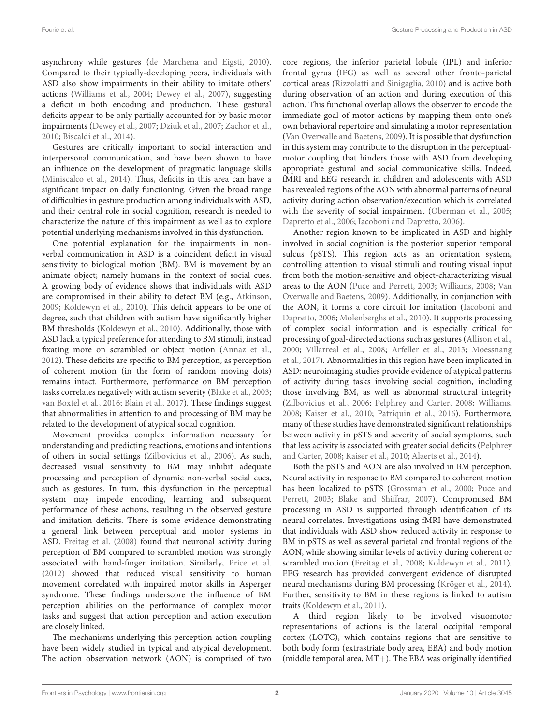asynchrony while gestures [\(de Marchena and Eigsti,](#page-12-4) [2010\)](#page-12-4). Compared to their typically-developing peers, individuals with ASD also show impairments in their ability to imitate others' actions [\(Williams et al.,](#page-14-0) [2004;](#page-14-0) [Dewey et al.,](#page-12-3) [2007\)](#page-12-3), suggesting a deficit in both encoding and production. These gestural deficits appear to be only partially accounted for by basic motor impairments [\(Dewey et al.,](#page-12-3) [2007;](#page-12-3) [Dziuk et al.,](#page-12-5) [2007;](#page-12-5) [Zachor et al.,](#page-14-1) [2010;](#page-14-1) [Biscaldi et al.,](#page-12-6) [2014\)](#page-12-6).

Gestures are critically important to social interaction and interpersonal communication, and have been shown to have an influence on the development of pragmatic language skills [\(Miniscalco et al.,](#page-13-2) [2014\)](#page-13-2). Thus, deficits in this area can have a significant impact on daily functioning. Given the broad range of difficulties in gesture production among individuals with ASD, and their central role in social cognition, research is needed to characterize the nature of this impairment as well as to explore potential underlying mechanisms involved in this dysfunction.

One potential explanation for the impairments in nonverbal communication in ASD is a coincident deficit in visual sensitivity to biological motion (BM). BM is movement by an animate object; namely humans in the context of social cues. A growing body of evidence shows that individuals with ASD are compromised in their ability to detect BM (e.g., [Atkinson,](#page-12-7) [2009;](#page-12-7) [Koldewyn et al.,](#page-12-8) [2010\)](#page-12-8). This deficit appears to be one of degree, such that children with autism have significantly higher BM thresholds [\(Koldewyn et al.,](#page-12-8) [2010\)](#page-12-8). Additionally, those with ASD lack a typical preference for attending to BM stimuli, instead fixating more on scrambled or object motion [\(Annaz et al.,](#page-12-9) [2012\)](#page-12-9). These deficits are specific to BM perception, as perception of coherent motion (in the form of random moving dots) remains intact. Furthermore, performance on BM perception tasks correlates negatively with autism severity [\(Blake et al.,](#page-12-10) [2003;](#page-12-10) [van Boxtel et al.,](#page-13-3) [2016;](#page-13-3) [Blain et al.,](#page-12-11) [2017\)](#page-12-11). These findings suggest that abnormalities in attention to and processing of BM may be related to the development of atypical social cognition.

Movement provides complex information necessary for understanding and predicting reactions, emotions and intentions of others in social settings [\(Zilbovicius et al.,](#page-14-2) [2006\)](#page-14-2). As such, decreased visual sensitivity to BM may inhibit adequate processing and perception of dynamic non-verbal social cues, such as gestures. In turn, this dysfunction in the perceptual system may impede encoding, learning and subsequent performance of these actions, resulting in the observed gesture and imitation deficits. There is some evidence demonstrating a general link between perceptual and motor systems in ASD. [Freitag et al.](#page-12-12) [\(2008\)](#page-12-12) found that neuronal activity during perception of BM compared to scrambled motion was strongly associated with hand-finger imitation. Similarly, [Price et al.](#page-13-4) [\(2012\)](#page-13-4) showed that reduced visual sensitivity to human movement correlated with impaired motor skills in Asperger syndrome. These findings underscore the influence of BM perception abilities on the performance of complex motor tasks and suggest that action perception and action execution are closely linked.

The mechanisms underlying this perception-action coupling have been widely studied in typical and atypical development. The action observation network (AON) is comprised of two

core regions, the inferior parietal lobule (IPL) and inferior frontal gyrus (IFG) as well as several other fronto-parietal cortical areas [\(Rizzolatti and Sinigaglia,](#page-13-5) [2010\)](#page-13-5) and is active both during observation of an action and during execution of this action. This functional overlap allows the observer to encode the immediate goal of motor actions by mapping them onto one's own behavioral repertoire and simulating a motor representation [\(Van Overwalle and Baetens,](#page-13-6) [2009\)](#page-13-6). It is possible that dysfunction in this system may contribute to the disruption in the perceptualmotor coupling that hinders those with ASD from developing appropriate gestural and social communicative skills. Indeed, fMRI and EEG research in children and adolescents with ASD has revealed regions of the AON with abnormal patterns of neural activity during action observation/execution which is correlated with the severity of social impairment [\(Oberman et al.,](#page-13-7) [2005;](#page-13-7) [Dapretto et al.,](#page-12-13) [2006;](#page-12-13) [Iacoboni and Dapretto,](#page-12-14) [2006\)](#page-12-14).

Another region known to be implicated in ASD and highly involved in social cognition is the posterior superior temporal sulcus (pSTS). This region acts as an orientation system, controlling attention to visual stimuli and routing visual input from both the motion-sensitive and object-characterizing visual areas to the AON [\(Puce and Perrett,](#page-13-8) [2003;](#page-13-8) [Williams,](#page-14-3) [2008;](#page-14-3) [Van](#page-13-6) [Overwalle and Baetens,](#page-13-6) [2009\)](#page-13-6). Additionally, in conjunction with the AON, it forms a core circuit for imitation [\(Iacoboni and](#page-12-14) [Dapretto,](#page-12-14) [2006;](#page-12-14) [Molenberghs et al.,](#page-13-9) [2010\)](#page-13-9). It supports processing of complex social information and is especially critical for processing of goal-directed actions such as gestures [\(Allison et al.,](#page-12-15) [2000;](#page-12-15) [Villarreal et al.,](#page-13-10) [2008;](#page-13-10) [Arfeller et al.,](#page-12-16) [2013;](#page-12-16) [Moessnang](#page-13-11) [et al.,](#page-13-11) [2017\)](#page-13-11). Abnormalities in this region have been implicated in ASD: neuroimaging studies provide evidence of atypical patterns of activity during tasks involving social cognition, including those involving BM, as well as abnormal structural integrity [\(Zilbovicius et al.,](#page-14-2) [2006;](#page-14-2) [Pelphrey and Carter,](#page-13-12) [2008;](#page-13-12) [Williams,](#page-14-3) [2008;](#page-14-3) [Kaiser et al.,](#page-12-17) [2010;](#page-12-17) [Patriquin et al.,](#page-13-13) [2016\)](#page-13-13). Furthermore, many of these studies have demonstrated significant relationships between activity in pSTS and severity of social symptoms, such that less activity is associated with greater social deficits [\(Pelphrey](#page-13-12) [and Carter,](#page-13-12) [2008;](#page-13-12) [Kaiser et al.,](#page-12-17) [2010;](#page-12-17) [Alaerts et al.,](#page-12-18) [2014\)](#page-12-18).

Both the pSTS and AON are also involved in BM perception. Neural activity in response to BM compared to coherent motion has been localized to pSTS [\(Grossman et al.,](#page-12-19) [2000;](#page-12-19) [Puce and](#page-13-8) [Perrett,](#page-13-8) [2003;](#page-13-8) [Blake and Shiffrar,](#page-12-20) [2007\)](#page-12-20). Compromised BM processing in ASD is supported through identification of its neural correlates. Investigations using fMRI have demonstrated that individuals with ASD show reduced activity in response to BM in pSTS as well as several parietal and frontal regions of the AON, while showing similar levels of activity during coherent or scrambled motion [\(Freitag et al.,](#page-12-12) [2008;](#page-12-12) [Koldewyn et al.,](#page-12-21) [2011\)](#page-12-21). EEG research has provided convergent evidence of disrupted neural mechanisms during BM processing [\(Kröger et al.,](#page-12-22) [2014\)](#page-12-22). Further, sensitivity to BM in these regions is linked to autism traits [\(Koldewyn et al.,](#page-12-21) [2011\)](#page-12-21).

A third region likely to be involved visuomotor representations of actions is the lateral occipital temporal cortex (LOTC), which contains regions that are sensitive to both body form (extrastriate body area, EBA) and body motion (middle temporal area, MT+). The EBA was originally identified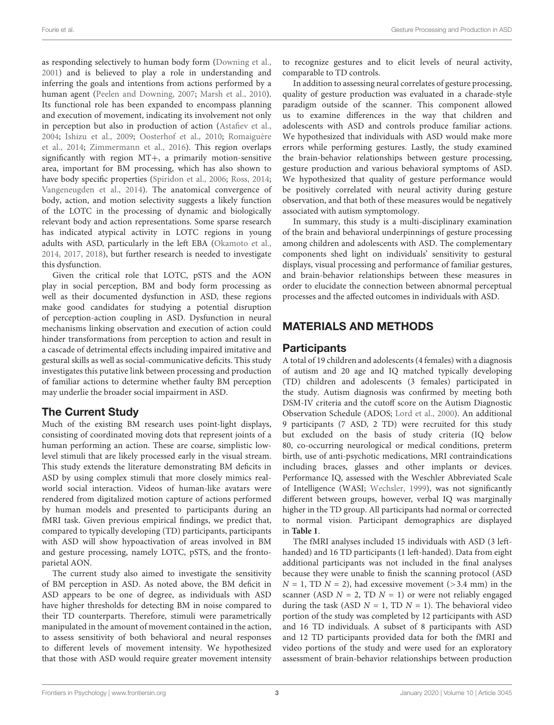as responding selectively to human body form [\(Downing et al.,](#page-12-23) [2001\)](#page-12-23) and is believed to play a role in understanding and inferring the goals and intentions from actions performed by a human agent [\(Peelen and Downing,](#page-13-14) [2007;](#page-13-14) [Marsh et al.,](#page-13-15) [2010\)](#page-13-15). Its functional role has been expanded to encompass planning and execution of movement, indicating its involvement not only in perception but also in production of action [\(Astafiev et al.,](#page-12-24) [2004;](#page-12-24) [Ishizu et al.,](#page-12-25) [2009;](#page-12-25) [Oosterhof et al.,](#page-13-16) [2010;](#page-13-16) [Romaiguère](#page-13-17) [et al.,](#page-13-17) [2014;](#page-13-17) [Zimmermann et al.,](#page-14-4) [2016\)](#page-14-4). This region overlaps significantly with region MT+, a primarily motion-sensitive area, important for BM processing, which has also shown to have body specific properties [\(Spiridon et al.,](#page-13-18) [2006;](#page-13-18) [Ross,](#page-13-19) [2014;](#page-13-19) [Vangeneugden et al.,](#page-13-20) [2014\)](#page-13-20). The anatomical convergence of body, action, and motion selectivity suggests a likely function of the LOTC in the processing of dynamic and biologically relevant body and action representations. Some sparse research has indicated atypical activity in LOTC regions in young adults with ASD, particularly in the left EBA [\(Okamoto et al.,](#page-13-21) [2014,](#page-13-21) [2017,](#page-13-22) [2018\)](#page-13-23), but further research is needed to investigate this dysfunction.

Given the critical role that LOTC, pSTS and the AON play in social perception, BM and body form processing as well as their documented dysfunction in ASD, these regions make good candidates for studying a potential disruption of perception-action coupling in ASD. Dysfunction in neural mechanisms linking observation and execution of action could hinder transformations from perception to action and result in a cascade of detrimental effects including impaired imitative and gestural skills as well as social-communicative deficits. This study investigates this putative link between processing and production of familiar actions to determine whether faulty BM perception may underlie the broader social impairment in ASD.

## The Current Study

Much of the existing BM research uses point-light displays, consisting of coordinated moving dots that represent joints of a human performing an action. These are coarse, simplistic lowlevel stimuli that are likely processed early in the visual stream. This study extends the literature demonstrating BM deficits in ASD by using complex stimuli that more closely mimics realworld social interaction. Videos of human-like avatars were rendered from digitalized motion capture of actions performed by human models and presented to participants during an fMRI task. Given previous empirical findings, we predict that, compared to typically developing (TD) participants, participants with ASD will show hypoactivation of areas involved in BM and gesture processing, namely LOTC, pSTS, and the frontoparietal AON.

The current study also aimed to investigate the sensitivity of BM perception in ASD. As noted above, the BM deficit in ASD appears to be one of degree, as individuals with ASD have higher thresholds for detecting BM in noise compared to their TD counterparts. Therefore, stimuli were parametrically manipulated in the amount of movement contained in the action, to assess sensitivity of both behavioral and neural responses to different levels of movement intensity. We hypothesized that those with ASD would require greater movement intensity

to recognize gestures and to elicit levels of neural activity, comparable to TD controls.

In addition to assessing neural correlates of gesture processing, quality of gesture production was evaluated in a charade-style paradigm outside of the scanner. This component allowed us to examine differences in the way that children and adolescents with ASD and controls produce familiar actions. We hypothesized that individuals with ASD would make more errors while performing gestures. Lastly, the study examined the brain-behavior relationships between gesture processing, gesture production and various behavioral symptoms of ASD. We hypothesized that quality of gesture performance would be positively correlated with neural activity during gesture observation, and that both of these measures would be negatively associated with autism symptomology.

In summary, this study is a multi-disciplinary examination of the brain and behavioral underpinnings of gesture processing among children and adolescents with ASD. The complementary components shed light on individuals' sensitivity to gestural displays, visual processing and performance of familiar gestures, and brain-behavior relationships between these measures in order to elucidate the connection between abnormal perceptual processes and the affected outcomes in individuals with ASD.

# MATERIALS AND METHODS

### **Participants**

A total of 19 children and adolescents (4 females) with a diagnosis of autism and 20 age and IQ matched typically developing (TD) children and adolescents (3 females) participated in the study. Autism diagnosis was confirmed by meeting both DSM-IV criteria and the cutoff score on the Autism Diagnostic Observation Schedule (ADOS; [Lord et al.,](#page-13-24) [2000\)](#page-13-24). An additional 9 participants (7 ASD, 2 TD) were recruited for this study but excluded on the basis of study criteria (IQ below 80, co-occurring neurological or medical conditions, preterm birth, use of anti-psychotic medications, MRI contraindications including braces, glasses and other implants or devices. Performance IQ, assessed with the Weschler Abbreviated Scale of Intelligence (WASI; [Wechsler,](#page-13-25) [1999\)](#page-13-25), was not significantly different between groups, however, verbal IQ was marginally higher in the TD group. All participants had normal or corrected to normal vision. Participant demographics are displayed in **[Table 1](#page-3-0)**.

The fMRI analyses included 15 individuals with ASD (3 lefthanded) and 16 TD participants (1 left-handed). Data from eight additional participants was not included in the final analyses because they were unable to finish the scanning protocol (ASD  $N = 1$ , TD  $N = 2$ ), had excessive movement (>3.4 mm) in the scanner (ASD  $N = 2$ , TD  $N = 1$ ) or were not reliably engaged during the task (ASD  $N = 1$ , TD  $N = 1$ ). The behavioral video portion of the study was completed by 12 participants with ASD and 16 TD individuals. A subset of 8 participants with ASD and 12 TD participants provided data for both the fMRI and video portions of the study and were used for an exploratory assessment of brain-behavior relationships between production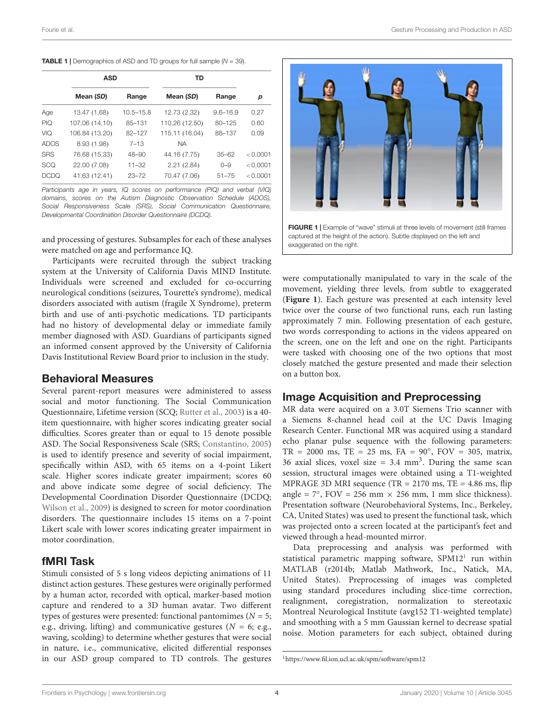<span id="page-3-0"></span>

|  | <b>TABLE 1</b> Demographics of ASD and TD groups for full sample $(N = 39)$ . |  |  |  |  |
|--|-------------------------------------------------------------------------------|--|--|--|--|
|--|-------------------------------------------------------------------------------|--|--|--|--|

|             | <b>ASD</b>     |               | TD             |              |          |  |
|-------------|----------------|---------------|----------------|--------------|----------|--|
|             | Mean (SD)      | Range         | Mean (SD)      | Range        | р        |  |
| Age         | 13.47 (1.68)   | $10.5 - 15.8$ | 12.73 (2.32)   | $9.6 - 16.9$ | 0.27     |  |
| <b>PIQ</b>  | 107.06 (14.10) | 85-131        | 110.26 (12.50) | $80 - 125$   | 0.60     |  |
| VIQ         | 106.84 (13.20) | 82-127        | 115.11 (16.04) | 88-137       | 0.09     |  |
| <b>ADOS</b> | 8.93 (1.98)    | $7 - 13$      | <b>NA</b>      |              |          |  |
| <b>SRS</b>  | 76.68 (15.33)  | $48 - 90$     | 44.16 (7.75)   | $35 - 62$    | < 0.0001 |  |
| SCQ         | 22.00 (7.08)   | $11 - 32$     | 2.21(2.84)     | $O - 9$      | < 0.0001 |  |
| <b>DCDQ</b> | 41.63 (12.41)  | $23 - 72$     | 70.47 (7.06)   | $51 - 75$    | < 0.0001 |  |

Participants age in years, IQ scores on performance (PIQ) and verbal (VIQ) domains, scores on the Autism Diagnostic Observation Schedule (ADOS), Social Responsiveness Scale (SRS), Social Communication Questionnaire, Developmental Coordination Disorder Questionnaire (DCDQ).

and processing of gestures. Subsamples for each of these analyses were matched on age and performance IQ.

Participants were recruited through the subject tracking system at the University of California Davis MIND Institute. Individuals were screened and excluded for co-occurring neurological conditions (seizures, Tourette's syndrome), medical disorders associated with autism (fragile X Syndrome), preterm birth and use of anti-psychotic medications. TD participants had no history of developmental delay or immediate family member diagnosed with ASD. Guardians of participants signed an informed consent approved by the University of California Davis Institutional Review Board prior to inclusion in the study.

### Behavioral Measures

Several parent-report measures were administered to assess social and motor functioning. The Social Communication Questionnaire, Lifetime version (SCQ; [Rutter et al.,](#page-13-26) [2003\)](#page-13-26) is a 40 item questionnaire, with higher scores indicating greater social difficulties. Scores greater than or equal to 15 denote possible ASD. The Social Responsiveness Scale (SRS; [Constantino,](#page-12-26) [2005\)](#page-12-26) is used to identify presence and severity of social impairment, specifically within ASD, with 65 items on a 4-point Likert scale. Higher scores indicate greater impairment; scores 60 and above indicate some degree of social deficiency. The Developmental Coordination Disorder Questionnaire (DCDQ; [Wilson et al.,](#page-14-5) [2009\)](#page-14-5) is designed to screen for motor coordination disorders. The questionnaire includes 15 items on a 7-point Likert scale with lower scores indicating greater impairment in motor coordination.

## fMRI Task

Stimuli consisted of 5 s long videos depicting animations of 11 distinct action gestures. These gestures were originally performed by a human actor, recorded with optical, marker-based motion capture and rendered to a 3D human avatar. Two different types of gestures were presented: functional pantomimes ( $N = 5$ ; e.g., driving, lifting) and communicative gestures ( $N = 6$ ; e.g., waving, scolding) to determine whether gestures that were social in nature, i.e., communicative, elicited differential responses in our ASD group compared to TD controls. The gestures



<span id="page-3-1"></span>were computationally manipulated to vary in the scale of the movement, yielding three levels, from subtle to exaggerated (**[Figure 1](#page-3-1)**). Each gesture was presented at each intensity level twice over the course of two functional runs, each run lasting approximately 7 min. Following presentation of each gesture, two words corresponding to actions in the videos appeared on the screen, one on the left and one on the right. Participants were tasked with choosing one of the two options that most closely matched the gesture presented and made their selection on a button box.

## Image Acquisition and Preprocessing

MR data were acquired on a 3.0T Siemens Trio scanner with a Siemens 8-channel head coil at the UC Davis Imaging Research Center. Functional MR was acquired using a standard echo planar pulse sequence with the following parameters:  $TR = 2000$  ms,  $TE = 25$  ms,  $FA = 90^{\circ}$ ,  $FOV = 305$ , matrix, 36 axial slices, voxel size =  $3.4 \text{ mm}^3$ . During the same scan session, structural images were obtained using a T1-weighted MPRAGE 3D MRI sequence (TR = 2170 ms, TE = 4.86 ms, flip angle =  $7^\circ$ , FOV =  $256$  mm  $\times$  256 mm, 1 mm slice thickness). Presentation software (Neurobehavioral Systems, Inc., Berkeley, CA, United States) was used to present the functional task, which was projected onto a screen located at the participant's feet and viewed through a head-mounted mirror.

Data preprocessing and analysis was performed with statistical parametric mapping software, SPM[1](#page-3-2)2<sup>1</sup> run within MATLAB (r2014b; Matlab Mathwork, Inc., Natick, MA, United States). Preprocessing of images was completed using standard procedures including slice-time correction, realignment, coregistration, normalization to stereotaxic Montreal Neurological Institute (avg152 T1-weighted template) and smoothing with a 5 mm Gaussian kernel to decrease spatial noise. Motion parameters for each subject, obtained during

<span id="page-3-2"></span><sup>1</sup><https://www.fil.ion.ucl.ac.uk/spm/software/spm12>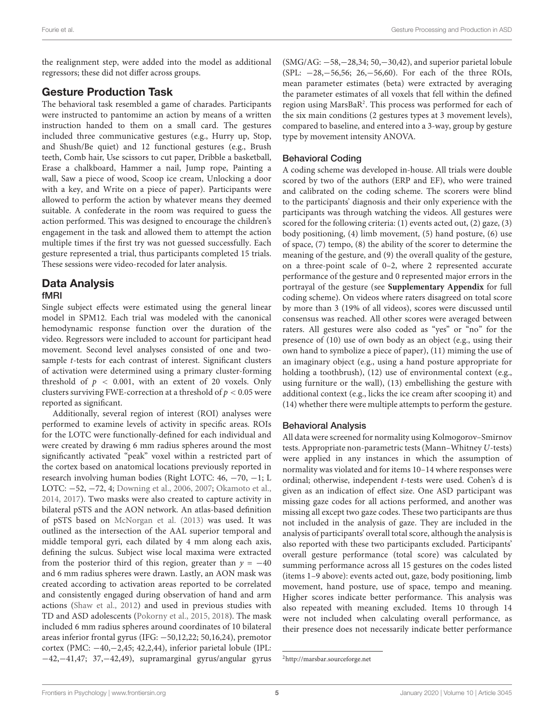the realignment step, were added into the model as additional regressors; these did not differ across groups.

# Gesture Production Task

The behavioral task resembled a game of charades. Participants were instructed to pantomime an action by means of a written instruction handed to them on a small card. The gestures included three communicative gestures (e.g., Hurry up, Stop, and Shush/Be quiet) and 12 functional gestures (e.g., Brush teeth, Comb hair, Use scissors to cut paper, Dribble a basketball, Erase a chalkboard, Hammer a nail, Jump rope, Painting a wall, Saw a piece of wood, Scoop ice cream, Unlocking a door with a key, and Write on a piece of paper). Participants were allowed to perform the action by whatever means they deemed suitable. A confederate in the room was required to guess the action performed. This was designed to encourage the children's engagement in the task and allowed them to attempt the action multiple times if the first try was not guessed successfully. Each gesture represented a trial, thus participants completed 15 trials. These sessions were video-recoded for later analysis.

### Data Analysis fMRI

Single subject effects were estimated using the general linear model in SPM12. Each trial was modeled with the canonical hemodynamic response function over the duration of the video. Regressors were included to account for participant head movement. Second level analyses consisted of one and twosample t-tests for each contrast of interest. Significant clusters of activation were determined using a primary cluster-forming threshold of  $p < 0.001$ , with an extent of 20 voxels. Only clusters surviving FWE-correction at a threshold of  $p < 0.05$  were reported as significant.

Additionally, several region of interest (ROI) analyses were performed to examine levels of activity in specific areas. ROIs for the LOTC were functionally-defined for each individual and were created by drawing 6 mm radius spheres around the most significantly activated "peak" voxel within a restricted part of the cortex based on anatomical locations previously reported in research involving human bodies (Right LOTC: 46, −70, −1; L LOTC: −52, −72, 4; [Downing et al.,](#page-12-27) [2006,](#page-12-27) [2007;](#page-12-28) [Okamoto et al.,](#page-13-21) [2014,](#page-13-21) [2017\)](#page-13-22). Two masks were also created to capture activity in bilateral pSTS and the AON network. An atlas-based definition of pSTS based on [McNorgan et al.](#page-13-27) [\(2013\)](#page-13-27) was used. It was outlined as the intersection of the AAL superior temporal and middle temporal gyri, each dilated by 4 mm along each axis, defining the sulcus. Subject wise local maxima were extracted from the posterior third of this region, greater than  $y = -40$ and 6 mm radius spheres were drawn. Lastly, an AON mask was created according to activation areas reported to be correlated and consistently engaged during observation of hand and arm actions [\(Shaw et al.,](#page-13-28) [2012\)](#page-13-28) and used in previous studies with TD and ASD adolescents [\(Pokorny et al.,](#page-13-29) [2015,](#page-13-29) [2018\)](#page-13-30). The mask included 6 mm radius spheres around coordinates of 10 bilateral areas inferior frontal gyrus (IFG: −50,12,22; 50,16,24), premotor cortex (PMC: −40,−2,45; 42,2,44), inferior parietal lobule (IPL: −42,−41,47; 37,−42,49), supramarginal gyrus/angular gyrus (SMG/AG: −58,−28,34; 50,−30,42), and superior parietal lobule (SPL: −28,−56,56; 26,−56,60). For each of the three ROIs, mean parameter estimates (beta) were extracted by averaging the parameter estimates of all voxels that fell within the defined region using MarsBaR<sup>[2](#page-4-0)</sup>. This process was performed for each of the six main conditions (2 gestures types at 3 movement levels), compared to baseline, and entered into a 3-way, group by gesture type by movement intensity ANOVA.

### Behavioral Coding

A coding scheme was developed in-house. All trials were double scored by two of the authors (ERP and EF), who were trained and calibrated on the coding scheme. The scorers were blind to the participants' diagnosis and their only experience with the participants was through watching the videos. All gestures were scored for the following criteria: (1) events acted out, (2) gaze, (3) body positioning, (4) limb movement, (5) hand posture, (6) use of space, (7) tempo, (8) the ability of the scorer to determine the meaning of the gesture, and (9) the overall quality of the gesture, on a three-point scale of 0–2, where 2 represented accurate performance of the gesture and 0 represented major errors in the portrayal of the gesture (see **[Supplementary Appendix](#page-12-29)** for full coding scheme). On videos where raters disagreed on total score by more than 3 (19% of all videos), scores were discussed until consensus was reached. All other scores were averaged between raters. All gestures were also coded as "yes" or "no" for the presence of (10) use of own body as an object (e.g., using their own hand to symbolize a piece of paper), (11) miming the use of an imaginary object (e.g., using a hand posture appropriate for holding a toothbrush), (12) use of environmental context (e.g., using furniture or the wall), (13) embellishing the gesture with additional context (e.g., licks the ice cream after scooping it) and (14) whether there were multiple attempts to perform the gesture.

### Behavioral Analysis

All data were screened for normality using Kolmogorov–Smirnov tests. Appropriate non-parametric tests (Mann–Whitney U-tests) were applied in any instances in which the assumption of normality was violated and for items 10–14 where responses were ordinal; otherwise, independent t-tests were used. Cohen's d is given as an indication of effect size. One ASD participant was missing gaze codes for all actions performed, and another was missing all except two gaze codes. These two participants are thus not included in the analysis of gaze. They are included in the analysis of participants' overall total score, although the analysis is also reported with these two participants excluded. Participants' overall gesture performance (total score) was calculated by summing performance across all 15 gestures on the codes listed (items 1–9 above): events acted out, gaze, body positioning, limb movement, hand posture, use of space, tempo and meaning. Higher scores indicate better performance. This analysis was also repeated with meaning excluded. Items 10 through 14 were not included when calculating overall performance, as their presence does not necessarily indicate better performance

<span id="page-4-0"></span><sup>2</sup><http://marsbar.sourceforge.net>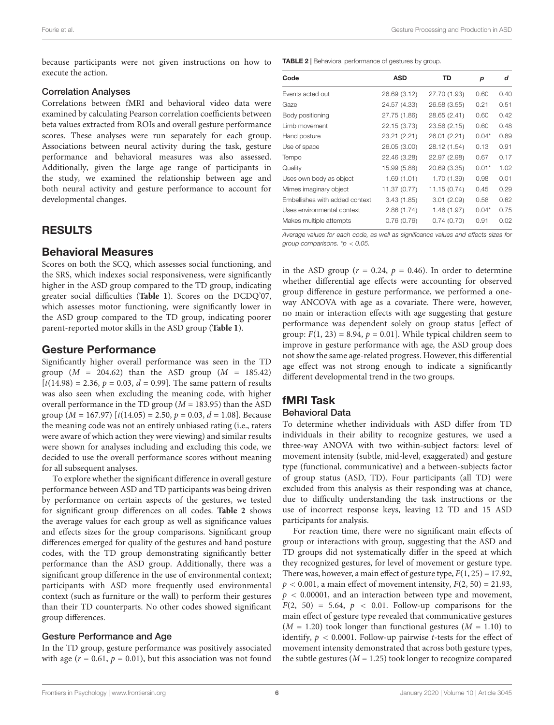because participants were not given instructions on how to execute the action.

#### Correlation Analyses

Correlations between fMRI and behavioral video data were examined by calculating Pearson correlation coefficients between beta values extracted from ROIs and overall gesture performance scores. These analyses were run separately for each group. Associations between neural activity during the task, gesture performance and behavioral measures was also assessed. Additionally, given the large age range of participants in the study, we examined the relationship between age and both neural activity and gesture performance to account for developmental changes.

# RESULTS

## Behavioral Measures

Scores on both the SCQ, which assesses social functioning, and the SRS, which indexes social responsiveness, were significantly higher in the ASD group compared to the TD group, indicating greater social difficulties (**[Table 1](#page-3-0)**). Scores on the DCDQ'07, which assesses motor functioning, were significantly lower in the ASD group compared to the TD group, indicating poorer parent-reported motor skills in the ASD group (**[Table 1](#page-3-0)**).

### Gesture Performance

Significantly higher overall performance was seen in the TD group  $(M = 204.62)$  than the ASD group  $(M = 185.42)$  $[t(14.98) = 2.36, p = 0.03, d = 0.99]$ . The same pattern of results was also seen when excluding the meaning code, with higher overall performance in the TD group ( $M = 183.95$ ) than the ASD group  $(M = 167.97)$   $[t(14.05) = 2.50, p = 0.03, d = 1.08]$ . Because the meaning code was not an entirely unbiased rating (i.e., raters were aware of which action they were viewing) and similar results were shown for analyses including and excluding this code, we decided to use the overall performance scores without meaning for all subsequent analyses.

To explore whether the significant difference in overall gesture performance between ASD and TD participants was being driven by performance on certain aspects of the gestures, we tested for significant group differences on all codes. **[Table 2](#page-5-0)** shows the average values for each group as well as significance values and effects sizes for the group comparisons. Significant group differences emerged for quality of the gestures and hand posture codes, with the TD group demonstrating significantly better performance than the ASD group. Additionally, there was a significant group difference in the use of environmental context; participants with ASD more frequently used environmental context (such as furniture or the wall) to perform their gestures than their TD counterparts. No other codes showed significant group differences.

### Gesture Performance and Age

In the TD group, gesture performance was positively associated with age ( $r = 0.61$ ,  $p = 0.01$ ), but this association was not found

<span id="page-5-0"></span>TABLE 2 | Behavioral performance of gestures by group.

| Code                           | <b>ASD</b>   | TD           | р       | d    |
|--------------------------------|--------------|--------------|---------|------|
| Events acted out               | 26.69 (3.12) | 27.70 (1.93) | 0.60    | 0.40 |
| Gaze                           | 24.57 (4.33) | 26.58 (3.55) | 0.21    | 0.51 |
| Body positioning               | 27.75 (1.86) | 28.65 (2.41) | 0.60    | 0.42 |
| Limb movement                  | 22.15 (3.73) | 23.56 (2.15) | 0.60    | 0.48 |
| Hand posture                   | 23.21 (2.21) | 26.01 (2.21) | $0.04*$ | 0.89 |
| Use of space                   | 26.05 (3.00) | 28.12 (1.54) | 0.13    | 0.91 |
| Tempo                          | 22.46 (3.28) | 22.97 (2.98) | 0.67    | 0.17 |
| Quality                        | 15.99 (5.88) | 20.69 (3.35) | $0.01*$ | 1.02 |
| Uses own body as object        | 1.69 (1.01)  | 1.70(1.39)   | 0.98    | 0.01 |
| Mimes imaginary object         | 11.37 (0.77) | 11.15(0.74)  | 0.45    | 0.29 |
| Embellishes with added context | 3.43(1.85)   | 3.01(2.09)   | 0.58    | 0.62 |
| Uses environmental context     | 2.86(1.74)   | 1.46 (1.97)  | $0.04*$ | 0.75 |
| Makes multiple attempts        | 0.76(0.76)   | 0.74(0.70)   | 0.91    | 0.02 |

Average values for each code, as well as significance values and effects sizes for group comparisons.  $p < 0.05$ .

in the ASD group ( $r = 0.24$ ,  $p = 0.46$ ). In order to determine whether differential age effects were accounting for observed group difference in gesture performance, we performed a oneway ANCOVA with age as a covariate. There were, however, no main or interaction effects with age suggesting that gesture performance was dependent solely on group status [effect of group:  $F(1, 23) = 8.94$ ,  $p = 0.01$ . While typical children seem to improve in gesture performance with age, the ASD group does not show the same age-related progress. However, this differential age effect was not strong enough to indicate a significantly different developmental trend in the two groups.

# fMRI Task

### Behavioral Data

To determine whether individuals with ASD differ from TD individuals in their ability to recognize gestures, we used a three-way ANOVA with two within-subject factors: level of movement intensity (subtle, mid-level, exaggerated) and gesture type (functional, communicative) and a between-subjects factor of group status (ASD, TD). Four participants (all TD) were excluded from this analysis as their responding was at chance, due to difficulty understanding the task instructions or the use of incorrect response keys, leaving 12 TD and 15 ASD participants for analysis.

For reaction time, there were no significant main effects of group or interactions with group, suggesting that the ASD and TD groups did not systematically differ in the speed at which they recognized gestures, for level of movement or gesture type. There was, however, a main effect of gesture type,  $F(1, 25) = 17.92$ ,  $p < 0.001$ , a main effect of movement intensity,  $F(2, 50) = 21.93$ ,  $p < 0.00001$ , and an interaction between type and movement,  $F(2, 50) = 5.64$ ,  $p < 0.01$ . Follow-up comparisons for the main effect of gesture type revealed that communicative gestures  $(M = 1.20)$  took longer than functional gestures  $(M = 1.10)$  to identify,  $p < 0.0001$ . Follow-up pairwise *t*-tests for the effect of movement intensity demonstrated that across both gesture types, the subtle gestures ( $M = 1.25$ ) took longer to recognize compared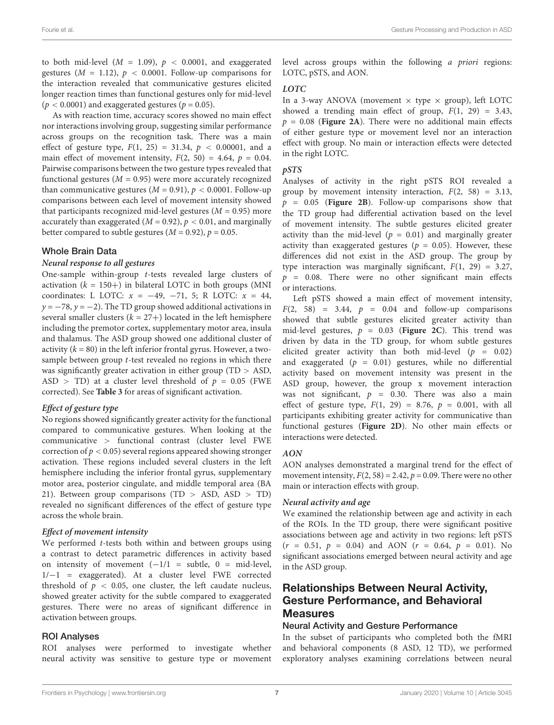to both mid-level ( $M = 1.09$ ),  $p < 0.0001$ , and exaggerated gestures ( $M = 1.12$ ),  $p < 0.0001$ . Follow-up comparisons for the interaction revealed that communicative gestures elicited longer reaction times than functional gestures only for mid-level ( $p < 0.0001$ ) and exaggerated gestures ( $p = 0.05$ ).

As with reaction time, accuracy scores showed no main effect nor interactions involving group, suggesting similar performance across groups on the recognition task. There was a main effect of gesture type,  $F(1, 25) = 31.34$ ,  $p < 0.00001$ , and a main effect of movement intensity,  $F(2, 50) = 4.64$ ,  $p = 0.04$ . Pairwise comparisons between the two gesture types revealed that functional gestures ( $M = 0.95$ ) were more accurately recognized than communicative gestures ( $M = 0.91$ ),  $p < 0.0001$ . Follow-up comparisons between each level of movement intensity showed that participants recognized mid-level gestures ( $M = 0.95$ ) more accurately than exaggerated ( $M = 0.92$ ),  $p < 0.01$ , and marginally better compared to subtle gestures ( $M = 0.92$ ),  $p = 0.05$ .

#### Whole Brain Data

#### **Neural response to all gestures**

One-sample within-group t-tests revealed large clusters of activation  $(k = 150+)$  in bilateral LOTC in both groups (MNI coordinates: L LOTC:  $x = -49, -71, 5$ ; R LOTC:  $x = 44$ ,  $y = -78$ ,  $y = -2$ ). The TD group showed additional activations in several smaller clusters  $(k = 27+)$  located in the left hemisphere including the premotor cortex, supplementary motor area, insula and thalamus. The ASD group showed one additional cluster of activity  $(k = 80)$  in the left inferior frontal gyrus. However, a twosample between group t-test revealed no regions in which there was significantly greater activation in either group (TD > ASD, ASD > TD) at a cluster level threshold of  $p = 0.05$  (FWE corrected). See **[Table 3](#page-7-0)** for areas of significant activation.

#### **Effect of gesture type**

No regions showed significantly greater activity for the functional compared to communicative gestures. When looking at the communicative > functional contrast (cluster level FWE correction of  $p < 0.05$ ) several regions appeared showing stronger activation. These regions included several clusters in the left hemisphere including the inferior frontal gyrus, supplementary motor area, posterior cingulate, and middle temporal area (BA 21). Between group comparisons (TD > ASD, ASD > TD) revealed no significant differences of the effect of gesture type across the whole brain.

#### **Effect of movement intensity**

We performed *t*-tests both within and between groups using a contrast to detect parametric differences in activity based on intensity of movement  $(-1/1 =$  subtle,  $0 =$  mid-level, 1/−1 = exaggerated). At a cluster level FWE corrected threshold of  $p < 0.05$ , one cluster, the left caudate nucleus, showed greater activity for the subtle compared to exaggerated gestures. There were no areas of significant difference in activation between groups.

#### ROI Analyses

ROI analyses were performed to investigate whether neural activity was sensitive to gesture type or movement level across groups within the following a priori regions: LOTC, pSTS, and AON.

#### **LOTC**

In a 3-way ANOVA (movement  $\times$  type  $\times$  group), left LOTC showed a trending main effect of group,  $F(1, 29) = 3.43$ ,  $p = 0.08$  (**[Figure 2A](#page-7-1)**). There were no additional main effects of either gesture type or movement level nor an interaction effect with group. No main or interaction effects were detected in the right LOTC.

#### **pSTS**

Analyses of activity in the right pSTS ROI revealed a group by movement intensity interaction,  $F(2, 58) = 3.13$ ,  $p = 0.05$  (**[Figure 2B](#page-7-1)**). Follow-up comparisons show that the TD group had differential activation based on the level of movement intensity. The subtle gestures elicited greater activity than the mid-level ( $p = 0.01$ ) and marginally greater activity than exaggerated gestures ( $p = 0.05$ ). However, these differences did not exist in the ASD group. The group by type interaction was marginally significant,  $F(1, 29) = 3.27$ ,  $p = 0.08$ . There were no other significant main effects or interactions.

Left pSTS showed a main effect of movement intensity,  $F(2, 58) = 3.44$ ,  $p = 0.04$  and follow-up comparisons showed that subtle gestures elicited greater activity than mid-level gestures,  $p = 0.03$  ([Figure 2C](#page-7-1)). This trend was driven by data in the TD group, for whom subtle gestures elicited greater activity than both mid-level  $(p = 0.02)$ and exaggerated ( $p = 0.01$ ) gestures, while no differential activity based on movement intensity was present in the ASD group, however, the group x movement interaction was not significant,  $p = 0.30$ . There was also a main effect of gesture type,  $F(1, 29) = 8.76$ ,  $p = 0.001$ , with all participants exhibiting greater activity for communicative than functional gestures (**[Figure 2D](#page-7-1)**). No other main effects or interactions were detected.

### **AON**

AON analyses demonstrated a marginal trend for the effect of movement intensity,  $F(2, 58) = 2.42$ ,  $p = 0.09$ . There were no other main or interaction effects with group.

#### **Neural activity and age**

We examined the relationship between age and activity in each of the ROIs. In the TD group, there were significant positive associations between age and activity in two regions: left pSTS  $(r = 0.51, p = 0.04)$  and AON  $(r = 0.64, p = 0.01)$ . No significant associations emerged between neural activity and age in the ASD group.

# Relationships Between Neural Activity, Gesture Performance, and Behavioral **Measures**

### Neural Activity and Gesture Performance

In the subset of participants who completed both the fMRI and behavioral components (8 ASD, 12 TD), we performed exploratory analyses examining correlations between neural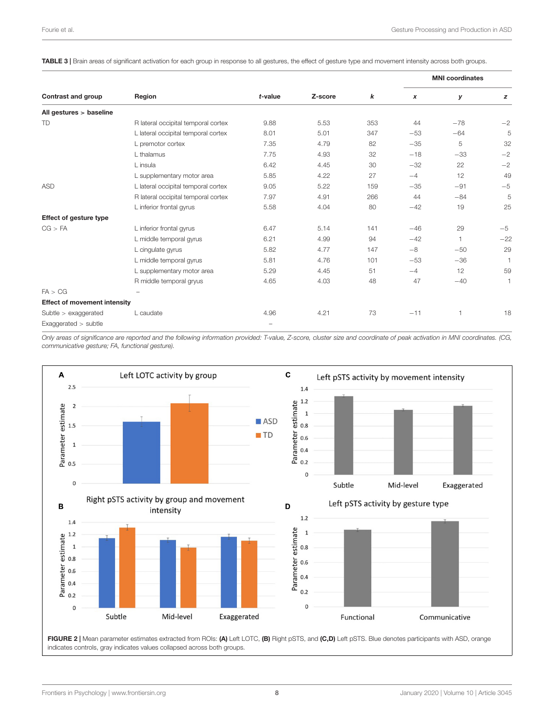<span id="page-7-0"></span>TABLE 3 | Brain areas of significant activation for each group in response to all gestures, the effect of gesture type and movement intensity across both groups.

|                                     | Region                              | $t$ -value | Z-score | k   | <b>MNI</b> coordinates |       |                |
|-------------------------------------|-------------------------------------|------------|---------|-----|------------------------|-------|----------------|
| <b>Contrast and group</b>           |                                     |            |         |     | $\boldsymbol{x}$       | У     | z              |
| All gestures > baseline             |                                     |            |         |     |                        |       |                |
| <b>TD</b>                           | R lateral occipital temporal cortex | 9.88       | 5.53    | 353 | 44                     | $-78$ | $-2$           |
|                                     | L lateral occipital temporal cortex | 8.01       | 5.01    | 347 | $-53$                  | $-64$ | 5              |
|                                     | L premotor cortex                   | 7.35       | 4.79    | 82  | $-35$                  | 5     | 32             |
|                                     | L thalamus                          | 7.75       | 4.93    | 32  | $-18$                  | $-33$ | $-2$           |
|                                     | L insula                            | 6.42       | 4.45    | 30  | $-32$                  | 22    | $-2$           |
|                                     | L supplementary motor area          | 5.85       | 4.22    | 27  | $-4$                   | 12    | 49             |
| <b>ASD</b>                          | L lateral occipital temporal cortex | 9.05       | 5.22    | 159 | $-35$                  | $-91$ | $-5$           |
|                                     | R lateral occipital temporal cortex | 7.97       | 4.91    | 266 | 44                     | $-84$ | 5              |
|                                     | L inferior frontal gyrus            | 5.58       | 4.04    | 80  | $-42$                  | 19    | 25             |
| <b>Effect of gesture type</b>       |                                     |            |         |     |                        |       |                |
| CG > FA                             | L inferior frontal gyrus            | 6.47       | 5.14    | 141 | $-46$                  | 29    | $-5$           |
|                                     | L middle temporal gyrus             | 6.21       | 4.99    | 94  | $-42$                  | 1     | $-22$          |
|                                     | L cinqulate gyrus                   | 5.82       | 4.77    | 147 | $-8$                   | $-50$ | 29             |
|                                     | L middle temporal gyrus             | 5.81       | 4.76    | 101 | $-53$                  | $-36$ |                |
|                                     | L supplementary motor area          | 5.29       | 4.45    | 51  | $-4$                   | 12    | 59             |
|                                     | R middle temporal gryus             | 4.65       | 4.03    | 48  | 47                     | $-40$ | $\overline{1}$ |
| FA > CG                             |                                     |            |         |     |                        |       |                |
| <b>Effect of movement intensity</b> |                                     |            |         |     |                        |       |                |
| Subtle $>$ exaggerated              | L caudate                           | 4.96       | 4.21    | 73  | $-11$                  | 1     | 18             |
| Exaggerated > subtle                |                                     | -          |         |     |                        |       |                |

Only areas of significance are reported and the following information provided: T-value, Z-score, cluster size and coordinate of peak activation in MNI coordinates. (CG, communicative gesture; FA, functional gesture).

<span id="page-7-1"></span>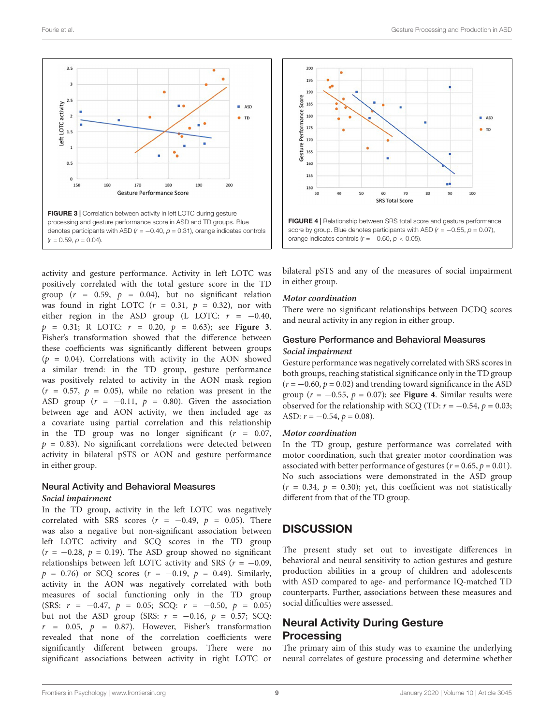

<span id="page-8-0"></span>activity and gesture performance. Activity in left LOTC was positively correlated with the total gesture score in the TD group ( $r = 0.59$ ,  $p = 0.04$ ), but no significant relation was found in right LOTC  $(r = 0.31, p = 0.32)$ , nor with either region in the ASD group (L LOTC:  $r = -0.40$ ,  $p = 0.31$ ; R LOTC:  $r = 0.20$ ,  $p = 0.63$ ); see **[Figure 3](#page-8-0)**. Fisher's transformation showed that the difference between these coefficients was significantly different between groups  $(p = 0.04)$ . Correlations with activity in the AON showed a similar trend: in the TD group, gesture performance was positively related to activity in the AON mask region  $(r = 0.57, p = 0.05)$ , while no relation was present in the ASD group ( $r = -0.11$ ,  $p = 0.80$ ). Given the association between age and AON activity, we then included age as a covariate using partial correlation and this relationship in the TD group was no longer significant  $(r = 0.07,$  $p = 0.83$ ). No significant correlations were detected between activity in bilateral pSTS or AON and gesture performance in either group.

### Neural Activity and Behavioral Measures

#### **Social impairment**

In the TD group, activity in the left LOTC was negatively correlated with SRS scores ( $r = -0.49$ ,  $p = 0.05$ ). There was also a negative but non-significant association between left LOTC activity and SCQ scores in the TD group  $(r = -0.28, p = 0.19)$ . The ASD group showed no significant relationships between left LOTC activity and SRS ( $r = -0.09$ ,  $p = 0.76$ ) or SCQ scores ( $r = -0.19$ ,  $p = 0.49$ ). Similarly, activity in the AON was negatively correlated with both measures of social functioning only in the TD group (SRS:  $r = -0.47$ ,  $p = 0.05$ ; SCQ:  $r = -0.50$ ,  $p = 0.05$ ) but not the ASD group (SRS:  $r = -0.16$ ,  $p = 0.57$ ; SCQ:  $r = 0.05$ ,  $p = 0.87$ ). However, Fisher's transformation revealed that none of the correlation coefficients were significantly different between groups. There were no significant associations between activity in right LOTC or



<span id="page-8-1"></span>bilateral pSTS and any of the measures of social impairment in either group.

#### **Motor coordination**

There were no significant relationships between DCDQ scores and neural activity in any region in either group.

### Gesture Performance and Behavioral Measures **Social impairment**

Gesture performance was negatively correlated with SRS scores in both groups, reaching statistical significance only in the TD group  $(r = -0.60, p = 0.02)$  and trending toward significance in the ASD group ( $r = -0.55$ ,  $p = 0.07$ ); see **[Figure 4](#page-8-1)**. Similar results were observed for the relationship with SCQ (TD:  $r = -0.54$ ,  $p = 0.03$ ; ASD:  $r = -0.54$ ,  $p = 0.08$ ).

#### **Motor coordination**

In the TD group, gesture performance was correlated with motor coordination, such that greater motor coordination was associated with better performance of gestures ( $r = 0.65$ ,  $p = 0.01$ ). No such associations were demonstrated in the ASD group  $(r = 0.34, p = 0.30)$ ; yet, this coefficient was not statistically different from that of the TD group.

### **DISCUSSION**

The present study set out to investigate differences in behavioral and neural sensitivity to action gestures and gesture production abilities in a group of children and adolescents with ASD compared to age- and performance IQ-matched TD counterparts. Further, associations between these measures and social difficulties were assessed.

# Neural Activity During Gesture **Processing**

The primary aim of this study was to examine the underlying neural correlates of gesture processing and determine whether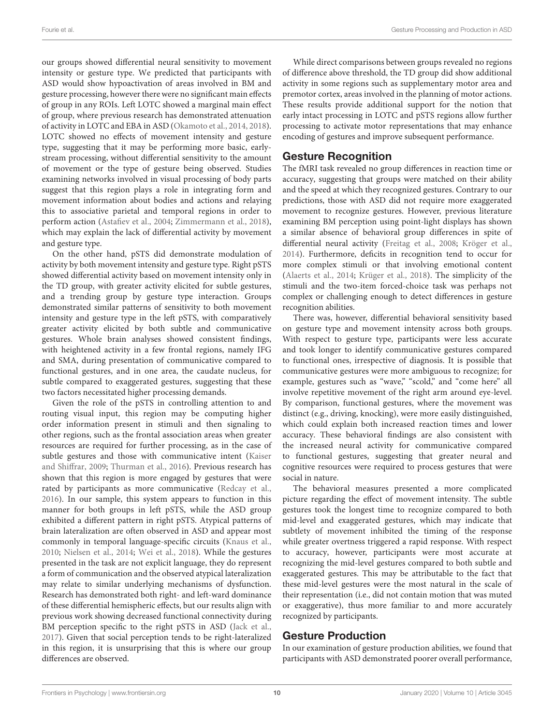our groups showed differential neural sensitivity to movement intensity or gesture type. We predicted that participants with ASD would show hypoactivation of areas involved in BM and gesture processing, however there were no significant main effects of group in any ROIs. Left LOTC showed a marginal main effect of group, where previous research has demonstrated attenuation of activity in LOTC and EBA in ASD [\(Okamoto et al.,](#page-13-21) [2014,](#page-13-21) [2018\)](#page-13-23). LOTC showed no effects of movement intensity and gesture type, suggesting that it may be performing more basic, earlystream processing, without differential sensitivity to the amount of movement or the type of gesture being observed. Studies examining networks involved in visual processing of body parts suggest that this region plays a role in integrating form and movement information about bodies and actions and relaying this to associative parietal and temporal regions in order to perform action [\(Astafiev et al.,](#page-12-24) [2004;](#page-12-24) [Zimmermann et al.,](#page-14-6) [2018\)](#page-14-6), which may explain the lack of differential activity by movement and gesture type.

On the other hand, pSTS did demonstrate modulation of activity by both movement intensity and gesture type. Right pSTS showed differential activity based on movement intensity only in the TD group, with greater activity elicited for subtle gestures, and a trending group by gesture type interaction. Groups demonstrated similar patterns of sensitivity to both movement intensity and gesture type in the left pSTS, with comparatively greater activity elicited by both subtle and communicative gestures. Whole brain analyses showed consistent findings, with heightened activity in a few frontal regions, namely IFG and SMA, during presentation of communicative compared to functional gestures, and in one area, the caudate nucleus, for subtle compared to exaggerated gestures, suggesting that these two factors necessitated higher processing demands.

Given the role of the pSTS in controlling attention to and routing visual input, this region may be computing higher order information present in stimuli and then signaling to other regions, such as the frontal association areas when greater resources are required for further processing, as in the case of subtle gestures and those with communicative intent [\(Kaiser](#page-12-30) [and Shiffrar,](#page-12-30) [2009;](#page-12-30) [Thurman et al.,](#page-13-31) [2016\)](#page-13-31). Previous research has shown that this region is more engaged by gestures that were rated by participants as more communicative [\(Redcay et al.,](#page-13-32) [2016\)](#page-13-32). In our sample, this system appears to function in this manner for both groups in left pSTS, while the ASD group exhibited a different pattern in right pSTS. Atypical patterns of brain lateralization are often observed in ASD and appear most commonly in temporal language-specific circuits [\(Knaus et al.,](#page-12-31) [2010;](#page-12-31) [Nielsen et al.,](#page-13-33) [2014;](#page-13-33) [Wei et al.,](#page-13-34) [2018\)](#page-13-34). While the gestures presented in the task are not explicit language, they do represent a form of communication and the observed atypical lateralization may relate to similar underlying mechanisms of dysfunction. Research has demonstrated both right- and left-ward dominance of these differential hemispheric effects, but our results align with previous work showing decreased functional connectivity during BM perception specific to the right pSTS in ASD [\(Jack et al.,](#page-12-32) [2017\)](#page-12-32). Given that social perception tends to be right-lateralized in this region, it is unsurprising that this is where our group differences are observed.

While direct comparisons between groups revealed no regions of difference above threshold, the TD group did show additional activity in some regions such as supplementary motor area and premotor cortex, areas involved in the planning of motor actions. These results provide additional support for the notion that early intact processing in LOTC and pSTS regions allow further processing to activate motor representations that may enhance encoding of gestures and improve subsequent performance.

# Gesture Recognition

The fMRI task revealed no group differences in reaction time or accuracy, suggesting that groups were matched on their ability and the speed at which they recognized gestures. Contrary to our predictions, those with ASD did not require more exaggerated movement to recognize gestures. However, previous literature examining BM perception using point-light displays has shown a similar absence of behavioral group differences in spite of differential neural activity [\(Freitag et al.,](#page-12-12) [2008;](#page-12-12) [Kröger et al.,](#page-12-22) [2014\)](#page-12-22). Furthermore, deficits in recognition tend to occur for more complex stimuli or that involving emotional content [\(Alaerts et al.,](#page-12-18) [2014;](#page-12-18) [Krüger et al.,](#page-13-35) [2018\)](#page-13-35). The simplicity of the stimuli and the two-item forced-choice task was perhaps not complex or challenging enough to detect differences in gesture recognition abilities.

There was, however, differential behavioral sensitivity based on gesture type and movement intensity across both groups. With respect to gesture type, participants were less accurate and took longer to identify communicative gestures compared to functional ones, irrespective of diagnosis. It is possible that communicative gestures were more ambiguous to recognize; for example, gestures such as "wave," "scold," and "come here" all involve repetitive movement of the right arm around eye-level. By comparison, functional gestures, where the movement was distinct (e.g., driving, knocking), were more easily distinguished, which could explain both increased reaction times and lower accuracy. These behavioral findings are also consistent with the increased neural activity for communicative compared to functional gestures, suggesting that greater neural and cognitive resources were required to process gestures that were social in nature.

The behavioral measures presented a more complicated picture regarding the effect of movement intensity. The subtle gestures took the longest time to recognize compared to both mid-level and exaggerated gestures, which may indicate that subtlety of movement inhibited the timing of the response while greater overtness triggered a rapid response. With respect to accuracy, however, participants were most accurate at recognizing the mid-level gestures compared to both subtle and exaggerated gestures. This may be attributable to the fact that these mid-level gestures were the most natural in the scale of their representation (i.e., did not contain motion that was muted or exaggerative), thus more familiar to and more accurately recognized by participants.

# Gesture Production

In our examination of gesture production abilities, we found that participants with ASD demonstrated poorer overall performance,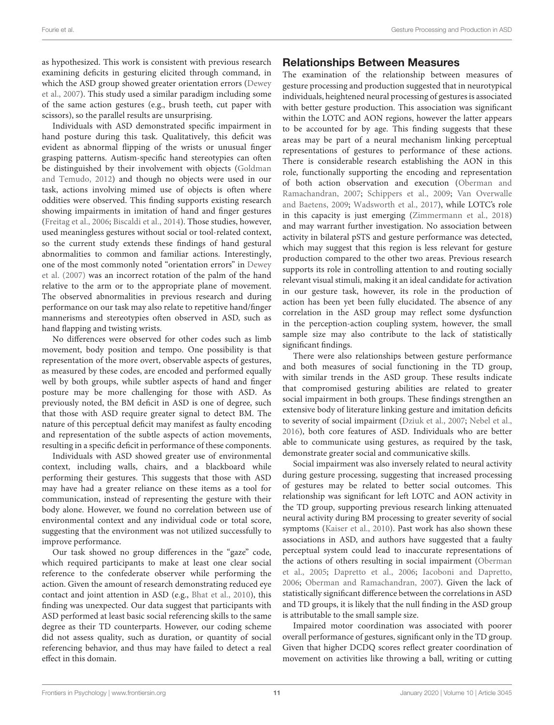as hypothesized. This work is consistent with previous research examining deficits in gesturing elicited through command, in which the ASD group showed greater orientation errors [\(Dewey](#page-12-3) [et al.,](#page-12-3) [2007\)](#page-12-3). This study used a similar paradigm including some of the same action gestures (e.g., brush teeth, cut paper with scissors), so the parallel results are unsurprising.

Individuals with ASD demonstrated specific impairment in hand posture during this task. Qualitatively, this deficit was evident as abnormal flipping of the wrists or unusual finger grasping patterns. Autism-specific hand stereotypies can often be distinguished by their involvement with objects [\(Goldman](#page-12-33) [and Temudo,](#page-12-33) [2012\)](#page-12-33) and though no objects were used in our task, actions involving mimed use of objects is often where oddities were observed. This finding supports existing research showing impairments in imitation of hand and finger gestures [\(Freitag et al.,](#page-12-34) [2006;](#page-12-34) [Biscaldi et al.,](#page-12-6) [2014\)](#page-12-6). Those studies, however, used meaningless gestures without social or tool-related context, so the current study extends these findings of hand gestural abnormalities to common and familiar actions. Interestingly, one of the most commonly noted "orientation errors" in [Dewey](#page-12-3) [et al.](#page-12-3) [\(2007\)](#page-12-3) was an incorrect rotation of the palm of the hand relative to the arm or to the appropriate plane of movement. The observed abnormalities in previous research and during performance on our task may also relate to repetitive hand/finger mannerisms and stereotypies often observed in ASD, such as hand flapping and twisting wrists.

No differences were observed for other codes such as limb movement, body position and tempo. One possibility is that representation of the more overt, observable aspects of gestures, as measured by these codes, are encoded and performed equally well by both groups, while subtler aspects of hand and finger posture may be more challenging for those with ASD. As previously noted, the BM deficit in ASD is one of degree, such that those with ASD require greater signal to detect BM. The nature of this perceptual deficit may manifest as faulty encoding and representation of the subtle aspects of action movements, resulting in a specific deficit in performance of these components.

Individuals with ASD showed greater use of environmental context, including walls, chairs, and a blackboard while performing their gestures. This suggests that those with ASD may have had a greater reliance on these items as a tool for communication, instead of representing the gesture with their body alone. However, we found no correlation between use of environmental context and any individual code or total score, suggesting that the environment was not utilized successfully to improve performance.

Our task showed no group differences in the "gaze" code, which required participants to make at least one clear social reference to the confederate observer while performing the action. Given the amount of research demonstrating reduced eye contact and joint attention in ASD (e.g., [Bhat et al.,](#page-12-35) [2010\)](#page-12-35), this finding was unexpected. Our data suggest that participants with ASD performed at least basic social referencing skills to the same degree as their TD counterparts. However, our coding scheme did not assess quality, such as duration, or quantity of social referencing behavior, and thus may have failed to detect a real effect in this domain.

### Relationships Between Measures

The examination of the relationship between measures of gesture processing and production suggested that in neurotypical individuals, heightened neural processing of gestures is associated with better gesture production. This association was significant within the LOTC and AON regions, however the latter appears to be accounted for by age. This finding suggests that these areas may be part of a neural mechanism linking perceptual representations of gestures to performance of these actions. There is considerable research establishing the AON in this role, functionally supporting the encoding and representation of both action observation and execution [\(Oberman and](#page-13-36) [Ramachandran,](#page-13-36) [2007;](#page-13-36) [Schippers et al.,](#page-13-37) [2009;](#page-13-37) [Van Overwalle](#page-13-6) [and Baetens,](#page-13-6) [2009;](#page-13-6) [Wadsworth et al.,](#page-13-38) [2017\)](#page-13-38), while LOTC's role in this capacity is just emerging [\(Zimmermann et al.,](#page-14-6) [2018\)](#page-14-6) and may warrant further investigation. No association between activity in bilateral pSTS and gesture performance was detected, which may suggest that this region is less relevant for gesture production compared to the other two areas. Previous research supports its role in controlling attention to and routing socially relevant visual stimuli, making it an ideal candidate for activation in our gesture task, however, its role in the production of action has been yet been fully elucidated. The absence of any correlation in the ASD group may reflect some dysfunction in the perception-action coupling system, however, the small sample size may also contribute to the lack of statistically significant findings.

There were also relationships between gesture performance and both measures of social functioning in the TD group, with similar trends in the ASD group. These results indicate that compromised gesturing abilities are related to greater social impairment in both groups. These findings strengthen an extensive body of literature linking gesture and imitation deficits to severity of social impairment [\(Dziuk et al.,](#page-12-5) [2007;](#page-12-5) [Nebel et al.,](#page-13-39) [2016\)](#page-13-39), both core features of ASD. Individuals who are better able to communicate using gestures, as required by the task, demonstrate greater social and communicative skills.

Social impairment was also inversely related to neural activity during gesture processing, suggesting that increased processing of gestures may be related to better social outcomes. This relationship was significant for left LOTC and AON activity in the TD group, supporting previous research linking attenuated neural activity during BM processing to greater severity of social symptoms [\(Kaiser et al.,](#page-12-17) [2010\)](#page-12-17). Past work has also shown these associations in ASD, and authors have suggested that a faulty perceptual system could lead to inaccurate representations of the actions of others resulting in social impairment [\(Oberman](#page-13-7) [et al.,](#page-13-7) [2005;](#page-13-7) [Dapretto et al.,](#page-12-13) [2006;](#page-12-13) [Iacoboni and Dapretto,](#page-12-14) [2006;](#page-12-14) [Oberman and Ramachandran,](#page-13-36) [2007\)](#page-13-36). Given the lack of statistically significant difference between the correlations in ASD and TD groups, it is likely that the null finding in the ASD group is attributable to the small sample size.

Impaired motor coordination was associated with poorer overall performance of gestures, significant only in the TD group. Given that higher DCDQ scores reflect greater coordination of movement on activities like throwing a ball, writing or cutting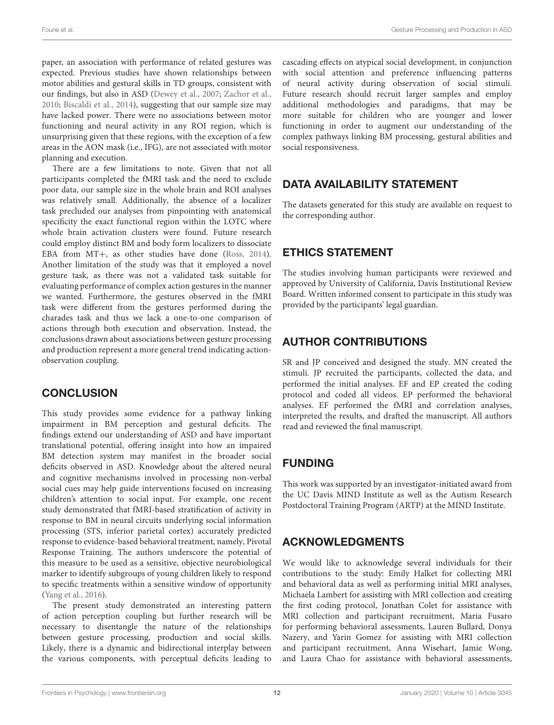paper, an association with performance of related gestures was expected. Previous studies have shown relationships between motor abilities and gestural skills in TD groups, consistent with our findings, but also in ASD [\(Dewey et al.,](#page-12-3) [2007;](#page-12-3) [Zachor et al.,](#page-14-1) [2010;](#page-14-1) [Biscaldi et al.,](#page-12-6) [2014\)](#page-12-6), suggesting that our sample size may have lacked power. There were no associations between motor functioning and neural activity in any ROI region, which is unsurprising given that these regions, with the exception of a few areas in the AON mask (i.e., IFG), are not associated with motor planning and execution.

There are a few limitations to note. Given that not all participants completed the fMRI task and the need to exclude poor data, our sample size in the whole brain and ROI analyses was relatively small. Additionally, the absence of a localizer task precluded our analyses from pinpointing with anatomical specificity the exact functional region within the LOTC where whole brain activation clusters were found. Future research could employ distinct BM and body form localizers to dissociate EBA from MT+, as other studies have done [\(Ross,](#page-13-19) [2014\)](#page-13-19). Another limitation of the study was that it employed a novel gesture task, as there was not a validated task suitable for evaluating performance of complex action gestures in the manner we wanted. Furthermore, the gestures observed in the fMRI task were different from the gestures performed during the charades task and thus we lack a one-to-one comparison of actions through both execution and observation. Instead, the conclusions drawn about associations between gesture processing and production represent a more general trend indicating actionobservation coupling.

# **CONCLUSION**

This study provides some evidence for a pathway linking impairment in BM perception and gestural deficits. The findings extend our understanding of ASD and have important translational potential, offering insight into how an impaired BM detection system may manifest in the broader social deficits observed in ASD. Knowledge about the altered neural and cognitive mechanisms involved in processing non-verbal social cues may help guide interventions focused on increasing children's attention to social input. For example, one recent study demonstrated that fMRI-based stratification of activity in response to BM in neural circuits underlying social information processing (STS, inferior parietal cortex) accurately predicted response to evidence-based behavioral treatment, namely, Pivotal Response Training. The authors underscore the potential of this measure to be used as a sensitive, objective neurobiological marker to identify subgroups of young children likely to respond to specific treatments within a sensitive window of opportunity [\(Yang et al.,](#page-14-7) [2016\)](#page-14-7).

The present study demonstrated an interesting pattern of action perception coupling but further research will be necessary to disentangle the nature of the relationships between gesture processing, production and social skills. Likely, there is a dynamic and bidirectional interplay between the various components, with perceptual deficits leading to

cascading effects on atypical social development, in conjunction with social attention and preference influencing patterns of neural activity during observation of social stimuli. Future research should recruit larger samples and employ additional methodologies and paradigms, that may be more suitable for children who are younger and lower functioning in order to augment our understanding of the complex pathways linking BM processing, gestural abilities and social responsiveness.

# DATA AVAILABILITY STATEMENT

The datasets generated for this study are available on request to the corresponding author.

# ETHICS STATEMENT

The studies involving human participants were reviewed and approved by University of California, Davis Institutional Review Board. Written informed consent to participate in this study was provided by the participants' legal guardian.

# AUTHOR CONTRIBUTIONS

SR and JP conceived and designed the study. MN created the stimuli. JP recruited the participants, collected the data, and performed the initial analyses. EF and EP created the coding protocol and coded all videos. EP performed the behavioral analyses. EF performed the fMRI and correlation analyses, interpreted the results, and drafted the manuscript. All authors read and reviewed the final manuscript.

# FUNDING

This work was supported by an investigator-initiated award from the UC Davis MIND Institute as well as the Autism Research Postdoctoral Training Program (ARTP) at the MIND Institute.

# ACKNOWLEDGMENTS

We would like to acknowledge several individuals for their contributions to the study: Emily Halket for collecting MRI and behavioral data as well as performing initial MRI analyses, Michaela Lambert for assisting with MRI collection and creating the first coding protocol, Jonathan Colet for assistance with MRI collection and participant recruitment, Maria Fusaro for performing behavioral assessments, Lauren Bullard, Donya Nazery, and Yarin Gomez for assisting with MRI collection and participant recruitment, Anna Wisehart, Jamie Wong, and Laura Chao for assistance with behavioral assessments,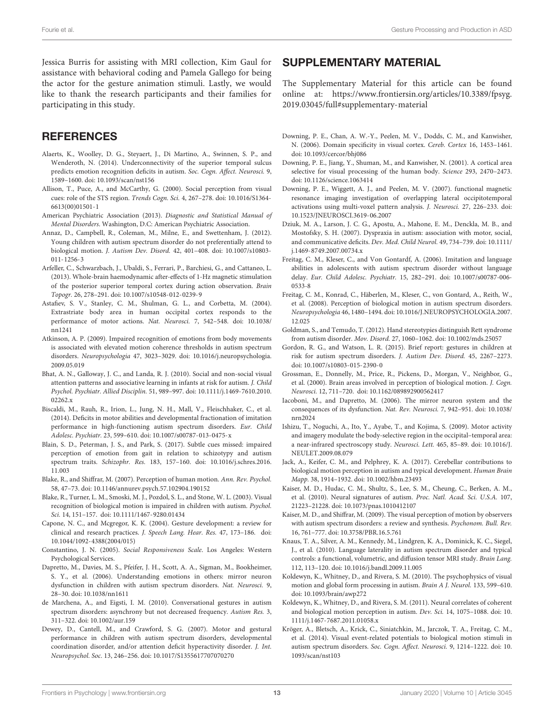Jessica Burris for assisting with MRI collection, Kim Gaul for assistance with behavioral coding and Pamela Gallego for being the actor for the gesture animation stimuli. Lastly, we would like to thank the research participants and their families for participating in this study.

### **REFERENCES**

- <span id="page-12-18"></span>Alaerts, K., Woolley, D. G., Steyaert, J., Di Martino, A., Swinnen, S. P., and Wenderoth, N. (2014). Underconnectivity of the superior temporal sulcus predicts emotion recognition deficits in autism. Soc. Cogn. Affect. Neurosci. 9, 1589–1600. [doi: 10.1093/scan/nst156](https://doi.org/10.1093/scan/nst156)
- <span id="page-12-15"></span>Allison, T., Puce, A., and McCarthy, G. (2000). Social perception from visual cues: role of the STS region. Trends Cogn. Sci. 4, 267–278. [doi: 10.1016/S1364-](https://doi.org/10.1016/S1364-6613(00)01501-1) [6613\(00\)01501-1](https://doi.org/10.1016/S1364-6613(00)01501-1)
- <span id="page-12-0"></span>American Psychiatric Association (2013). Diagnostic and Statistical Manual of Mental Disorders. Washington, D.C: American Psychiatric Association.
- <span id="page-12-9"></span>Annaz, D., Campbell, R., Coleman, M., Milne, E., and Swettenham, J. (2012). Young children with autism spectrum disorder do not preferentially attend to biological motion. J. Autism Dev. Disord. 42, 401–408. [doi: 10.1007/s10803-](https://doi.org/10.1007/s10803-011-1256-3) [011-1256-3](https://doi.org/10.1007/s10803-011-1256-3)
- <span id="page-12-16"></span>Arfeller, C., Schwarzbach, J., Ubaldi, S., Ferrari, P., Barchiesi, G., and Cattaneo, L. (2013). Whole-brain haemodynamic after-effects of 1-Hz magnetic stimulation of the posterior superior temporal cortex during action observation. Brain Topogr. 26, 278–291. [doi: 10.1007/s10548-012-0239-9](https://doi.org/10.1007/s10548-012-0239-9)
- <span id="page-12-24"></span>Astafiev, S. V., Stanley, C. M., Shulman, G. L., and Corbetta, M. (2004). Extrastriate body area in human occipital cortex responds to the performance of motor actions. Nat. Neurosci. 7, 542–548. [doi: 10.1038/](https://doi.org/10.1038/nn1241) [nn1241](https://doi.org/10.1038/nn1241)
- <span id="page-12-7"></span>Atkinson, A. P. (2009). Impaired recognition of emotions from body movements is associated with elevated motion coherence thresholds in autism spectrum disorders. Neuropsychologia 47, 3023–3029. [doi: 10.1016/j.neuropsychologia.](https://doi.org/10.1016/j.neuropsychologia.2009.05.019) [2009.05.019](https://doi.org/10.1016/j.neuropsychologia.2009.05.019)
- <span id="page-12-35"></span>Bhat, A. N., Galloway, J. C., and Landa, R. J. (2010). Social and non-social visual attention patterns and associative learning in infants at risk for autism. J. Child Psychol. Psychiatr. Allied Disciplin. 51, 989–997. [doi: 10.1111/j.1469-7610.2010.](https://doi.org/10.1111/j.1469-7610.2010.02262.x) [02262.x](https://doi.org/10.1111/j.1469-7610.2010.02262.x)
- <span id="page-12-6"></span>Biscaldi, M., Rauh, R., Irion, L., Jung, N. H., Mall, V., Fleischhaker, C., et al. (2014). Deficits in motor abilities and developmental fractionation of imitation performance in high-functioning autism spectrum disorders. Eur. Child Adolesc. Psychiatr. 23, 599–610. [doi: 10.1007/s00787-013-0475-x](https://doi.org/10.1007/s00787-013-0475-x)
- <span id="page-12-11"></span>Blain, S. D., Peterman, J. S., and Park, S. (2017). Subtle cues missed: impaired perception of emotion from gait in relation to schizotypy and autism spectrum traits. Schizophr. Res. 183, 157–160. [doi: 10.1016/j.schres.2016.](https://doi.org/10.1016/j.schres.2016.11.003) [11.003](https://doi.org/10.1016/j.schres.2016.11.003)
- <span id="page-12-20"></span>Blake, R., and Shiffrar, M. (2007). Perception of human motion. Ann. Rev. Psychol. 58, 47–73. [doi: 10.1146/annurev.psych.57.102904.190152](https://doi.org/10.1146/annurev.psych.57.102904.190152)
- <span id="page-12-10"></span>Blake, R., Turner, L. M., Smoski, M. J., Pozdol, S. L., and Stone, W. L. (2003). Visual recognition of biological motion is impaired in children with autism. Psychol. Sci. 14, 151–157. [doi: 10.1111/1467-9280.01434](https://doi.org/10.1111/1467-9280.01434)
- <span id="page-12-1"></span>Capone, N. C., and Mcgregor, K. K. (2004). Gesture development: a review for clinical and research practices. J. Speech Lang. Hear. Res. 47, 173–186. [doi:](https://doi.org/10.1044/1092-4388(2004/015)) [10.1044/1092-4388\(2004/015\)](https://doi.org/10.1044/1092-4388(2004/015))
- <span id="page-12-26"></span>Constantino, J. N. (2005). Social Responsiveness Scale. Los Angeles: Western Psychological Services.
- <span id="page-12-13"></span>Dapretto, M., Davies, M. S., Pfeifer, J. H., Scott, A. A., Sigman, M., Bookheimer, S. Y., et al. (2006). Understanding emotions in others: mirror neuron dysfunction in children with autism spectrum disorders. Nat. Neurosci. 9, 28–30. [doi: 10.1038/nn1611](https://doi.org/10.1038/nn1611)
- <span id="page-12-4"></span>de Marchena, A., and Eigsti, I. M. (2010). Conversational gestures in autism spectrum disorders: asynchrony but not decreased frequency. Autism Res. 3, 311–322. [doi: 10.1002/aur.159](https://doi.org/10.1002/aur.159)
- <span id="page-12-3"></span>Dewey, D., Cantell, M., and Crawford, S. G. (2007). Motor and gestural performance in children with autism spectrum disorders, developmental coordination disorder, and/or attention deficit hyperactivity disorder. J. Int. Neuropsychol. Soc. 13, 246–256. [doi: 10.1017/S1355617707070270](https://doi.org/10.1017/S1355617707070270)

### <span id="page-12-29"></span>SUPPLEMENTARY MATERIAL

The Supplementary Material for this article can be found online at: [https://www.frontiersin.org/articles/10.3389/fpsyg.](https://www.frontiersin.org/articles/10.3389/fpsyg.2019.03045/full#supplementary-material) [2019.03045/full#supplementary-material](https://www.frontiersin.org/articles/10.3389/fpsyg.2019.03045/full#supplementary-material)

- <span id="page-12-27"></span>Downing, P. E., Chan, A. W.-Y., Peelen, M. V., Dodds, C. M., and Kanwisher, N. (2006). Domain specificity in visual cortex. Cereb. Cortex 16, 1453–1461. [doi: 10.1093/cercor/bhj086](https://doi.org/10.1093/cercor/bhj086)
- <span id="page-12-23"></span>Downing, P. E., Jiang, Y., Shuman, M., and Kanwisher, N. (2001). A cortical area selective for visual processing of the human body. Science 293, 2470–2473. [doi: 10.1126/science.1063414](https://doi.org/10.1126/science.1063414)
- <span id="page-12-28"></span>Downing, P. E., Wiggett, A. J., and Peelen, M. V. (2007). functional magnetic resonance imaging investigation of overlapping lateral occipitotemporal activations using multi-voxel pattern analysis. J. Neurosci. 27, 226–233. [doi:](https://doi.org/10.1523/JNEUROSCI.3619-06.2007) [10.1523/JNEUROSCI.3619-06.2007](https://doi.org/10.1523/JNEUROSCI.3619-06.2007)
- <span id="page-12-5"></span>Dziuk, M. A., Larson, J. C. G., Apostu, A., Mahone, E. M., Denckla, M. B., and Mostofsky, S. H. (2007). Dyspraxia in autism: association with motor, social, and communicative deficits. Dev. Med. Child Neurol. 49, 734–739. [doi: 10.1111/](https://doi.org/10.1111/j.1469-8749.2007.00734.x) [j.1469-8749.2007.00734.x](https://doi.org/10.1111/j.1469-8749.2007.00734.x)
- <span id="page-12-34"></span>Freitag, C. M., Kleser, C., and Von Gontardf, A. (2006). Imitation and language abilities in adolescents with autism spectrum disorder without language delay. Eur. Child Adolesc. Psychiatr. 15, 282–291. [doi: 10.1007/s00787-006-](https://doi.org/10.1007/s00787-006-0533-8) [0533-8](https://doi.org/10.1007/s00787-006-0533-8)
- <span id="page-12-12"></span>Freitag, C. M., Konrad, C., Häberlen, M., Kleser, C., von Gontard, A., Reith, W., et al. (2008). Perception of biological motion in autism spectrum disorders. Neuropsychologia 46, 1480–1494. [doi: 10.1016/J.NEUROPSYCHOLOGIA.2007.](https://doi.org/10.1016/J.NEUROPSYCHOLOGIA.2007.12.025) [12.025](https://doi.org/10.1016/J.NEUROPSYCHOLOGIA.2007.12.025)
- <span id="page-12-33"></span>Goldman, S., and Temudo, T. (2012). Hand stereotypies distinguish Rett syndrome from autism disorder. Mov. Disord. 27, 1060–1062. [doi: 10.1002/mds.25057](https://doi.org/10.1002/mds.25057)
- <span id="page-12-2"></span>Gordon, R. G., and Watson, L. R. (2015). Brief report: gestures in children at risk for autism spectrum disorders. J. Autism Dev. Disord. 45, 2267–2273. [doi: 10.1007/s10803-015-2390-0](https://doi.org/10.1007/s10803-015-2390-0)
- <span id="page-12-19"></span>Grossman, E., Donnelly, M., Price, R., Pickens, D., Morgan, V., Neighbor, G., et al. (2000). Brain areas involved in perception of biological motion. J. Cogn. Neurosci. 12, 711–720. [doi: 10.1162/089892900562417](https://doi.org/10.1162/089892900562417)
- <span id="page-12-14"></span>Iacoboni, M., and Dapretto, M. (2006). The mirror neuron system and the consequences of its dysfunction. Nat. Rev. Neurosci. 7, 942–951. [doi: 10.1038/](https://doi.org/10.1038/nrn2024) [nrn2024](https://doi.org/10.1038/nrn2024)
- <span id="page-12-25"></span>Ishizu, T., Noguchi, A., Ito, Y., Ayabe, T., and Kojima, S. (2009). Motor activity and imagery modulate the body-selective region in the occipital–temporal area: a near-infrared spectroscopy study. Neurosci. Lett. 465, 85–89. [doi: 10.1016/J.](https://doi.org/10.1016/J.NEULET.2009.08.079) [NEULET.2009.08.079](https://doi.org/10.1016/J.NEULET.2009.08.079)
- <span id="page-12-32"></span>Jack, A., Keifer, C. M., and Pelphrey, K. A. (2017). Cerebellar contributions to biological motion perception in autism and typical development. Human Brain Mapp. 38, 1914–1932. [doi: 10.1002/hbm.23493](https://doi.org/10.1002/hbm.23493)
- <span id="page-12-17"></span>Kaiser, M. D., Hudac, C. M., Shultz, S., Lee, S. M., Cheung, C., Berken, A. M., et al. (2010). Neural signatures of autism. Proc. Natl. Acad. Sci. U.S.A. 107, 21223–21228. [doi: 10.1073/pnas.1010412107](https://doi.org/10.1073/pnas.1010412107)
- <span id="page-12-30"></span>Kaiser, M. D., and Shiffrar, M. (2009). The visual perception of motion by observers with autism spectrum disorders: a review and synthesis. Psychonom. Bull. Rev. 16, 761–777. [doi: 10.3758/PBR.16.5.761](https://doi.org/10.3758/PBR.16.5.761)
- <span id="page-12-31"></span>Knaus, T. A., Silver, A. M., Kennedy, M., Lindgren, K. A., Dominick, K. C., Siegel, J., et al. (2010). Language laterality in autism spectrum disorder and typical controls: a functional, volumetric, and diffusion tensor MRI study. Brain Lang. 112, 113–120. [doi: 10.1016/j.bandl.2009.11.005](https://doi.org/10.1016/j.bandl.2009.11.005)
- <span id="page-12-8"></span>Koldewyn, K., Whitney, D., and Rivera, S. M. (2010). The psychophysics of visual motion and global form processing in autism. Brain A J. Neurol. 133, 599–610. [doi: 10.1093/brain/awp272](https://doi.org/10.1093/brain/awp272)
- <span id="page-12-21"></span>Koldewyn, K., Whitney, D., and Rivera, S. M. (2011). Neural correlates of coherent and biological motion perception in autism. Dev. Sci. 14, 1075–1088. [doi: 10.](https://doi.org/10.1111/j.1467-7687.2011.01058.x) [1111/j.1467-7687.2011.01058.x](https://doi.org/10.1111/j.1467-7687.2011.01058.x)
- <span id="page-12-22"></span>Kröger, A., Bletsch, A., Krick, C., Siniatchkin, M., Jarczok, T. A., Freitag, C. M., et al. (2014). Visual event-related potentials to biological motion stimuli in autism spectrum disorders. Soc. Cogn. Affect. Neurosci. 9, 1214–1222. [doi: 10.](https://doi.org/10.1093/scan/nst103) [1093/scan/nst103](https://doi.org/10.1093/scan/nst103)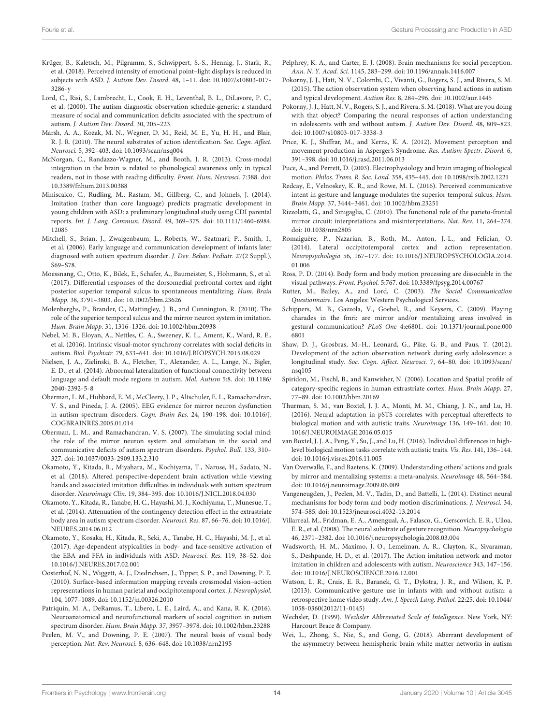- <span id="page-13-35"></span>Krüger, B., Kaletsch, M., Pilgramm, S., Schwippert, S.-S., Hennig, J., Stark, R., et al. (2018). Perceived intensity of emotional point–light displays is reduced in subjects with ASD. J. Autism Dev. Disord. 48, 1–11. [doi: 10.1007/s10803-017-](https://doi.org/10.1007/s10803-017-3286-y) [3286-y](https://doi.org/10.1007/s10803-017-3286-y)
- <span id="page-13-24"></span>Lord, C., Risi, S., Lambrecht, L., Cook, E. H., Leventhal, B. L., DiLavore, P. C., et al. (2000). The autism diagnostic observation schedule-generic: a standard measure of social and communication deficits associated with the spectrum of autism. J. Autism Dev. Disord. 30, 205–223.
- <span id="page-13-15"></span>Marsh, A. A., Kozak, M. N., Wegner, D. M., Reid, M. E., Yu, H. H., and Blair, R. J. R. (2010). The neural substrates of action identification. Soc. Cogn. Affect. Neurosci. 5, 392–403. [doi: 10.1093/scan/nsq004](https://doi.org/10.1093/scan/nsq004)
- <span id="page-13-27"></span>McNorgan, C., Randazzo-Wagner, M., and Booth, J. R. (2013). Cross-modal integration in the brain is related to phonological awareness only in typical readers, not in those with reading difficulty. Front. Hum. Neurosci. 7:388. [doi:](https://doi.org/10.3389/fnhum.2013.00388) [10.3389/fnhum.2013.00388](https://doi.org/10.3389/fnhum.2013.00388)
- <span id="page-13-2"></span>Miniscalco, C., Rudling, M., Rastam, M., Gillberg, C., and Johnels, J. (2014). Imitation (rather than core language) predicts pragmatic development in young children with ASD: a preliminary longitudinal study using CDI parental reports. Int. J. Lang. Commun. Disord. 49, 369–375. [doi: 10.1111/1460-6984.](https://doi.org/10.1111/1460-6984.12085) [12085](https://doi.org/10.1111/1460-6984.12085)
- <span id="page-13-0"></span>Mitchell, S., Brian, J., Zwaigenbaum, L., Roberts, W., Szatmari, P., Smith, I., et al. (2006). Early language and communication development of infants later diagnosed with autism spectrum disorder. J. Dev. Behav. Pediatr. 27(2 Suppl.), S69–S78.
- <span id="page-13-11"></span>Moessnang, C., Otto, K., Bilek, E., Schäfer, A., Baumeister, S., Hohmann, S., et al. (2017). Differential responses of the dorsomedial prefrontal cortex and right posterior superior temporal sulcus to spontaneous mentalizing. Hum. Brain Mapp. 38, 3791–3803. [doi: 10.1002/hbm.23626](https://doi.org/10.1002/hbm.23626)
- <span id="page-13-9"></span>Molenberghs, P., Brander, C., Mattingley, J. B., and Cunnington, R. (2010). The role of the superior temporal sulcus and the mirror neuron system in imitation. Hum. Brain Mapp. 31, 1316–1326. [doi: 10.1002/hbm.20938](https://doi.org/10.1002/hbm.20938)
- <span id="page-13-39"></span>Nebel, M. B., Eloyan, A., Nettles, C. A., Sweeney, K. L., Ament, K., Ward, R. E., et al. (2016). Intrinsic visual-motor synchrony correlates with social deficits in autism. Biol. Psychiatr. 79, 633–641. [doi: 10.1016/J.BIOPSYCH.2015.08.029](https://doi.org/10.1016/J.BIOPSYCH.2015.08.029)
- <span id="page-13-33"></span>Nielsen, J. A., Zielinski, B. A., Fletcher, T., Alexander, A. L., Lange, N., Bigler, E. D., et al. (2014). Abnormal lateralization of functional connectivity between language and default mode regions in autism. Mol. Autism 5:8. [doi: 10.1186/](https://doi.org/10.1186/2040-2392-5-8) [2040-2392-5-8](https://doi.org/10.1186/2040-2392-5-8)
- <span id="page-13-7"></span>Oberman, L. M., Hubbard, E. M., McCleery, J. P., Altschuler, E. L., Ramachandran, V. S., and Pineda, J. A. (2005). EEG evidence for mirror neuron dysfunction in autism spectrum disorders. Cogn. Brain Res. 24, 190–198. [doi: 10.1016/J.](https://doi.org/10.1016/J.COGBRAINRES.2005.01.014) [COGBRAINRES.2005.01.014](https://doi.org/10.1016/J.COGBRAINRES.2005.01.014)
- <span id="page-13-36"></span>Oberman, L. M., and Ramachandran, V. S. (2007). The simulating social mind: the role of the mirror neuron system and simulation in the social and communicative deficits of autism spectrum disorders. Psychol. Bull. 133, 310– 327. [doi: 10.1037/0033-2909.133.2.310](https://doi.org/10.1037/0033-2909.133.2.310)
- <span id="page-13-23"></span>Okamoto, Y., Kitada, R., Miyahara, M., Kochiyama, T., Naruse, H., Sadato, N., et al. (2018). Altered perspective-dependent brain activation while viewing hands and associated imitation difficulties in individuals with autism spectrum disorder. Neuroimage Clin. 19, 384–395. [doi: 10.1016/J.NICL.2018.04.030](https://doi.org/10.1016/J.NICL.2018.04.030)
- <span id="page-13-21"></span>Okamoto, Y., Kitada, R., Tanabe, H. C., Hayashi, M. J., Kochiyama, T., Munesue, T., et al. (2014). Attenuation of the contingency detection effect in the extrastriate body area in autism spectrum disorder. Neurosci. Res. 87, 66–76. [doi: 10.1016/J.](https://doi.org/10.1016/J.NEURES.2014.06.012) [NEURES.2014.06.012](https://doi.org/10.1016/J.NEURES.2014.06.012)
- <span id="page-13-22"></span>Okamoto, Y., Kosaka, H., Kitada, R., Seki, A., Tanabe, H. C., Hayashi, M. J., et al. (2017). Age-dependent atypicalities in body- and face-sensitive activation of the EBA and FFA in individuals with ASD. Neurosci. Res. 119, 38–52. [doi:](https://doi.org/10.1016/J.NEURES.2017.02.001) [10.1016/J.NEURES.2017.02.001](https://doi.org/10.1016/J.NEURES.2017.02.001)
- <span id="page-13-16"></span>Oosterhof, N. N., Wiggett, A. J., Diedrichsen, J., Tipper, S. P., and Downing, P. E. (2010). Surface-based information mapping reveals crossmodal vision–action representations in human parietal and occipitotemporal cortex. J. Neurophysiol. 104, 1077–1089. [doi: 10.1152/jn.00326.2010](https://doi.org/10.1152/jn.00326.2010)
- <span id="page-13-13"></span>Patriquin, M. A., DeRamus, T., Libero, L. E., Laird, A., and Kana, R. K. (2016). Neuroanatomical and neurofunctional markers of social cognition in autism spectrum disorder. Hum. Brain Mapp. 37, 3957–3978. [doi: 10.1002/hbm.23288](https://doi.org/10.1002/hbm.23288)
- <span id="page-13-14"></span>Peelen, M. V., and Downing, P. E. (2007). The neural basis of visual body perception. Nat. Rev. Neurosci. 8, 636–648. [doi: 10.1038/nrn2195](https://doi.org/10.1038/nrn2195)
- <span id="page-13-12"></span>Pelphrey, K. A., and Carter, E. J. (2008). Brain mechanisms for social perception. Ann. N. Y. Acad. Sci. 1145, 283–299. [doi: 10.1196/annals.1416.007](https://doi.org/10.1196/annals.1416.007)
- <span id="page-13-29"></span>Pokorny, J. J., Hatt, N. V., Colombi, C., Vivanti, G., Rogers, S. J., and Rivera, S. M. (2015). The action observation system when observing hand actions in autism and typical development. Autism Res. 8, 284–296. [doi: 10.1002/aur.1445](https://doi.org/10.1002/aur.1445)
- <span id="page-13-30"></span>Pokorny, J. J., Hatt, N. V., Rogers, S. J., and Rivera, S. M. (2018). What are you doing with that object? Comparing the neural responses of action understanding in adolescents with and without autism. J. Autism Dev. Disord. 48, 809–823. [doi: 10.1007/s10803-017-3338-3](https://doi.org/10.1007/s10803-017-3338-3)
- <span id="page-13-4"></span>Price, K. J., Shiffrar, M., and Kerns, K. A. (2012). Movement perception and movement production in Asperger's Syndrome. Res. Autism Spectr. Disord. 6, 391–398. [doi: 10.1016/j.rasd.2011.06.013](https://doi.org/10.1016/j.rasd.2011.06.013)
- <span id="page-13-8"></span>Puce, A., and Perrett, D. (2003). Electrophysiology and brain imaging of biological motion. Philos. Trans. R. Soc. Lond. 358, 435–445. [doi: 10.1098/rstb.2002.1221](https://doi.org/10.1098/rstb.2002.1221)
- <span id="page-13-32"></span>Redcay, E., Velnoskey, K. R., and Rowe, M. L. (2016). Perceived communicative intent in gesture and language modulates the superior temporal sulcus. Hum. Brain Mapp. 37, 3444–3461. [doi: 10.1002/hbm.23251](https://doi.org/10.1002/hbm.23251)
- <span id="page-13-5"></span>Rizzolatti, G., and Sinigaglia, C. (2010). The functional role of the parieto-frontal mirror circuit: interpretations and misinterpretations. Nat. Rev. 11, 264–274. [doi: 10.1038/nrn2805](https://doi.org/10.1038/nrn2805)
- <span id="page-13-17"></span>Romaiguère, P., Nazarian, B., Roth, M., Anton, J.-L., and Felician, O. (2014). Lateral occipitotemporal cortex and action representation. Neuropsychologia 56, 167–177. [doi: 10.1016/J.NEUROPSYCHOLOGIA.2014.](https://doi.org/10.1016/J.NEUROPSYCHOLOGIA.2014.01.006) [01.006](https://doi.org/10.1016/J.NEUROPSYCHOLOGIA.2014.01.006)
- <span id="page-13-19"></span>Ross, P. D. (2014). Body form and body motion processing are dissociable in the visual pathways. Front. Psychol. 5:767. [doi: 10.3389/fpsyg.2014.00767](https://doi.org/10.3389/fpsyg.2014.00767)
- <span id="page-13-26"></span>Rutter, M., Bailey, A., and Lord, C. (2003). The Social Communication Questionnaire. Los Angeles: Western Psychological Services.
- <span id="page-13-37"></span>Schippers, M. B., Gazzola, V., Goebel, R., and Keysers, C. (2009). Playing charades in the fmri: are mirror and/or mentalizing areas involved in gestural communication? PLoS One 4:e6801. [doi: 10.1371/journal.pone.000](https://doi.org/10.1371/journal.pone.0006801) [6801](https://doi.org/10.1371/journal.pone.0006801)
- <span id="page-13-28"></span>Shaw, D. J., Grosbras, M.-H., Leonard, G., Pike, G. B., and Paus, T. (2012). Development of the action observation network during early adolescence: a longitudinal study. Soc. Cogn. Affect. Neurosci. 7, 64–80. [doi: 10.1093/scan/](https://doi.org/10.1093/scan/nsq105) [nsq105](https://doi.org/10.1093/scan/nsq105)
- <span id="page-13-18"></span>Spiridon, M., Fischl, B., and Kanwisher, N. (2006). Location and Spatial profile of category-specific regions in human extrastriate cortex. Hum. Brain Mapp. 27, 77–89. [doi: 10.1002/hbm.20169](https://doi.org/10.1002/hbm.20169)
- <span id="page-13-31"></span>Thurman, S. M., van Boxtel, J. J. A., Monti, M. M., Chiang, J. N., and Lu, H. (2016). Neural adaptation in pSTS correlates with perceptual aftereffects to biological motion and with autistic traits. Neuroimage 136, 149–161. [doi: 10.](https://doi.org/10.1016/J.NEUROIMAGE.2016.05.015) [1016/J.NEUROIMAGE.2016.05.015](https://doi.org/10.1016/J.NEUROIMAGE.2016.05.015)
- <span id="page-13-3"></span>van Boxtel, J. J. A., Peng, Y., Su, J., and Lu, H. (2016). Individual differences in highlevel biological motion tasks correlate with autistic traits. Vis. Res. 141, 136–144. [doi: 10.1016/j.visres.2016.11.005](https://doi.org/10.1016/j.visres.2016.11.005)
- <span id="page-13-6"></span>Van Overwalle, F., and Baetens, K. (2009). Understanding others' actions and goals by mirror and mentalizing systems: a meta-analysis. Neuroimage 48, 564–584. [doi: 10.1016/j.neuroimage.2009.06.009](https://doi.org/10.1016/j.neuroimage.2009.06.009)
- <span id="page-13-20"></span>Vangeneugden, J., Peelen, M. V., Tadin, D., and Battelli, L. (2014). Distinct neural mechanisms for body form and body motion discriminations. J. Neurosci. 34, 574–585. [doi: 10.1523/jneurosci.4032-13.2014](https://doi.org/10.1523/jneurosci.4032-13.2014)
- <span id="page-13-10"></span>Villarreal, M., Fridman, E. A., Amengual, A., Falasco, G., Gerscovich, E. R., Ulloa, E. R., et al. (2008). The neural substrate of gesture recognition. Neuropsychologia 46, 2371–2382. [doi: 10.1016/j.neuropsychologia.2008.03.004](https://doi.org/10.1016/j.neuropsychologia.2008.03.004)
- <span id="page-13-38"></span>Wadsworth, H. M., Maximo, J. O., Lemelman, A. R., Clayton, K., Sivaraman, S., Deshpande, H. D., et al. (2017). The Action imitation network and motor imitation in children and adolescents with autism. Neuroscience 343, 147–156. [doi: 10.1016/J.NEUROSCIENCE.2016.12.001](https://doi.org/10.1016/J.NEUROSCIENCE.2016.12.001)
- <span id="page-13-1"></span>Watson, L. R., Crais, E. R., Baranek, G. T., Dykstra, J. R., and Wilson, K. P. (2013). Communicative gesture use in infants with and without autism: a retrospective home video study. Am. J. Speech Lang. Pathol. 22:25. [doi: 10.1044/](https://doi.org/10.1044/1058-0360(2012/11-0145)) [1058-0360\(2012/11-0145\)](https://doi.org/10.1044/1058-0360(2012/11-0145))
- <span id="page-13-25"></span>Wechsler, D. (1999). Wechsler Abbreviated Scale of Intelligence. New York, NY: Harcourt Brace & Company.
- <span id="page-13-34"></span>Wei, L., Zhong, S., Nie, S., and Gong, G. (2018). Aberrant development of the asymmetry between hemispheric brain white matter networks in autism